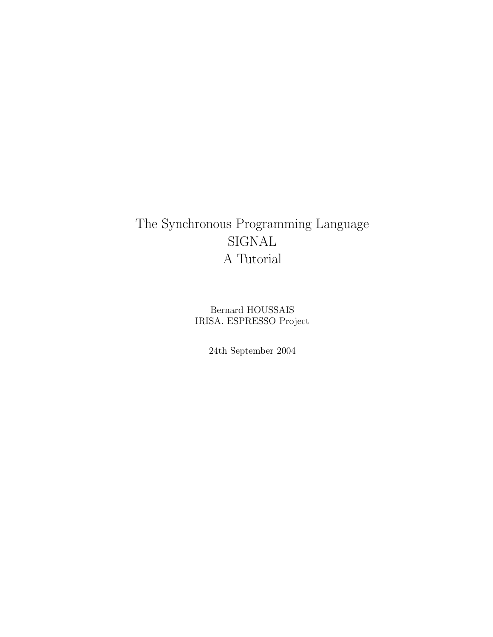# The Synchronous Programming Language SIGNAL A Tutorial

Bernard HOUSSAIS IRISA. ESPRESSO Project

24th September 2004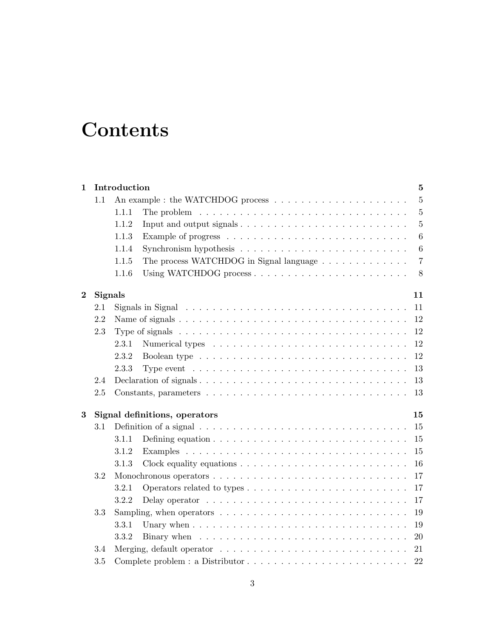# **Contents**

| 1        |         | Introduction                        |                                                                                                       | 5               |  |  |  |  |  |  |  |  |  |  |  |
|----------|---------|-------------------------------------|-------------------------------------------------------------------------------------------------------|-----------------|--|--|--|--|--|--|--|--|--|--|--|
|          | 1.1     |                                     |                                                                                                       | $\overline{5}$  |  |  |  |  |  |  |  |  |  |  |  |
|          |         | 1.1.1                               | The problem $\ldots \ldots \ldots \ldots \ldots \ldots \ldots \ldots \ldots \ldots \ldots$            | $\overline{5}$  |  |  |  |  |  |  |  |  |  |  |  |
|          |         | 1.1.2                               |                                                                                                       | $\overline{5}$  |  |  |  |  |  |  |  |  |  |  |  |
|          |         | 1.1.3                               |                                                                                                       | 6               |  |  |  |  |  |  |  |  |  |  |  |
|          |         | 1.1.4                               | Synchronism hypothesis $\ldots \ldots \ldots \ldots \ldots \ldots \ldots \ldots$                      | $6\phantom{.}6$ |  |  |  |  |  |  |  |  |  |  |  |
|          |         | 1.1.5                               | The process WATCHDOG in Signal language                                                               | $\overline{7}$  |  |  |  |  |  |  |  |  |  |  |  |
|          |         | 1.1.6                               |                                                                                                       |                 |  |  |  |  |  |  |  |  |  |  |  |
| $\bf{2}$ |         | <b>Signals</b><br>11                |                                                                                                       |                 |  |  |  |  |  |  |  |  |  |  |  |
|          | 2.1     |                                     | Signals in Signal $\ldots \ldots \ldots \ldots \ldots \ldots \ldots \ldots \ldots \ldots \ldots$      | 11              |  |  |  |  |  |  |  |  |  |  |  |
|          | 2.2     |                                     |                                                                                                       | 12              |  |  |  |  |  |  |  |  |  |  |  |
|          | 2.3     |                                     |                                                                                                       | 12              |  |  |  |  |  |  |  |  |  |  |  |
|          |         | 2.3.1                               |                                                                                                       | 12              |  |  |  |  |  |  |  |  |  |  |  |
|          |         | 2.3.2                               |                                                                                                       | 12              |  |  |  |  |  |  |  |  |  |  |  |
|          |         | 2.3.3                               | Type event $\dots \dots \dots \dots \dots \dots \dots \dots \dots \dots \dots \dots \dots$            | 13              |  |  |  |  |  |  |  |  |  |  |  |
|          | 2.4     |                                     |                                                                                                       | 13              |  |  |  |  |  |  |  |  |  |  |  |
|          | 2.5     |                                     |                                                                                                       | 13              |  |  |  |  |  |  |  |  |  |  |  |
| 3        |         | Signal definitions, operators<br>15 |                                                                                                       |                 |  |  |  |  |  |  |  |  |  |  |  |
|          | 3.1     |                                     | Definition of a signal $\ldots \ldots \ldots \ldots \ldots \ldots \ldots \ldots \ldots \ldots \ldots$ | 15              |  |  |  |  |  |  |  |  |  |  |  |
|          |         | 3.1.1                               | Defining equation $\ldots \ldots \ldots \ldots \ldots \ldots \ldots \ldots \ldots \ldots$             | 15              |  |  |  |  |  |  |  |  |  |  |  |
|          |         | 3.1.2                               |                                                                                                       | 15              |  |  |  |  |  |  |  |  |  |  |  |
|          |         | 3.1.3                               | Clock equality equations $\ldots \ldots \ldots \ldots \ldots \ldots \ldots \ldots$                    | 16              |  |  |  |  |  |  |  |  |  |  |  |
|          | 3.2     |                                     |                                                                                                       | 17              |  |  |  |  |  |  |  |  |  |  |  |
|          |         | 3.2.1                               |                                                                                                       | 17              |  |  |  |  |  |  |  |  |  |  |  |
|          |         | 3.2.2                               | Delay operator $\ldots \ldots \ldots \ldots \ldots \ldots \ldots \ldots \ldots \ldots$                | 17              |  |  |  |  |  |  |  |  |  |  |  |
|          | 3.3     |                                     | Sampling, when operators $\dots \dots \dots \dots \dots \dots \dots \dots \dots \dots \dots$          | 19              |  |  |  |  |  |  |  |  |  |  |  |
|          |         | 3.3.1                               |                                                                                                       | 19              |  |  |  |  |  |  |  |  |  |  |  |
|          |         | 3.3.2                               |                                                                                                       | 20              |  |  |  |  |  |  |  |  |  |  |  |
|          | 3.4     |                                     | Merging, default operator $\dots \dots \dots \dots \dots \dots \dots \dots \dots \dots \dots$         | 21              |  |  |  |  |  |  |  |  |  |  |  |
|          | $3.5\,$ |                                     |                                                                                                       | 22              |  |  |  |  |  |  |  |  |  |  |  |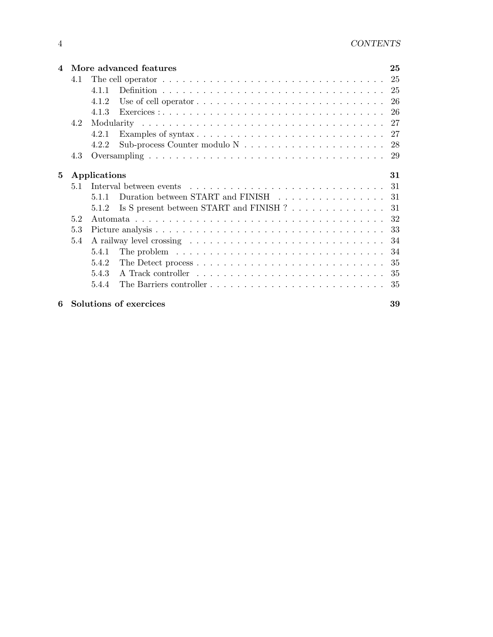| $\boldsymbol{\Lambda}$ |       |              | More advanced features                                                                                  | 25  |  |  |  |  |  |  |  |  |
|------------------------|-------|--------------|---------------------------------------------------------------------------------------------------------|-----|--|--|--|--|--|--|--|--|
|                        | 4.1   |              | The cell operator $\dots \dots \dots \dots \dots \dots \dots \dots \dots \dots \dots \dots \dots \dots$ | 25  |  |  |  |  |  |  |  |  |
|                        |       | 4.1.1        |                                                                                                         | 25  |  |  |  |  |  |  |  |  |
|                        |       | 4.1.2        | Use of cell operator $\dots \dots \dots \dots \dots \dots \dots \dots \dots \dots \dots$                | -26 |  |  |  |  |  |  |  |  |
|                        |       | 4.1.3        |                                                                                                         | 26  |  |  |  |  |  |  |  |  |
|                        | 4.2   |              |                                                                                                         |     |  |  |  |  |  |  |  |  |
|                        | 4.2.1 |              |                                                                                                         |     |  |  |  |  |  |  |  |  |
|                        |       | 4.2.2        |                                                                                                         | 28  |  |  |  |  |  |  |  |  |
|                        | 4.3   |              |                                                                                                         |     |  |  |  |  |  |  |  |  |
| 5                      |       | Applications |                                                                                                         | 31  |  |  |  |  |  |  |  |  |
|                        | 5.1   |              |                                                                                                         | 31  |  |  |  |  |  |  |  |  |
|                        |       | 5.1.1        | Duration between START and FINISH                                                                       | 31  |  |  |  |  |  |  |  |  |
|                        |       | 5.1.2        | Is S present between START and FINISH ?                                                                 | 31  |  |  |  |  |  |  |  |  |
|                        | 52    |              |                                                                                                         | 32  |  |  |  |  |  |  |  |  |
|                        | 5.3   |              |                                                                                                         | 33  |  |  |  |  |  |  |  |  |
|                        | 5.4   |              |                                                                                                         | 34  |  |  |  |  |  |  |  |  |
|                        |       | 5.4.1        | The problem $\ldots \ldots \ldots \ldots \ldots \ldots \ldots \ldots \ldots \ldots \ldots$              | 34  |  |  |  |  |  |  |  |  |
|                        |       | 5.4.2        | The Detect process $\dots \dots \dots \dots \dots \dots \dots \dots \dots \dots \dots$                  | 35  |  |  |  |  |  |  |  |  |
|                        |       | 5.4.3        |                                                                                                         | 35  |  |  |  |  |  |  |  |  |
|                        |       | 5.4.4        |                                                                                                         | 35  |  |  |  |  |  |  |  |  |
|                        |       |              |                                                                                                         |     |  |  |  |  |  |  |  |  |

# 6 Solutions of exercices 39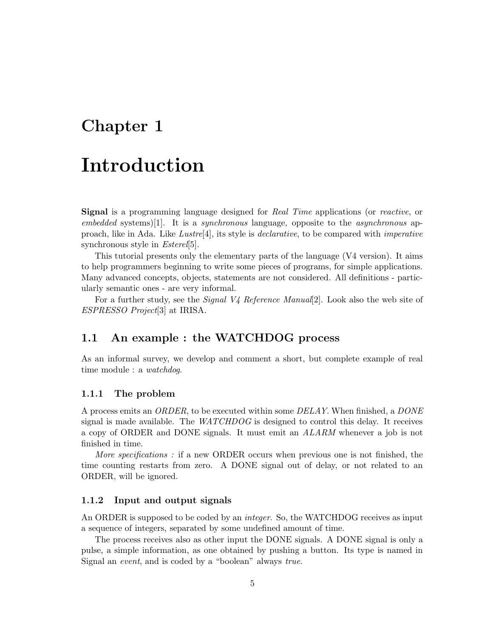# Chapter 1

# Introduction

Signal is a programming language designed for Real Time applications (or reactive, or  $embedded$  systems)[1]. It is a *synchronous* language, opposite to the *asynchronous* approach, like in Ada. Like Lustre[4], its style is declarative, to be compared with imperative synchronous style in *Esterel*[5].

This tutorial presents only the elementary parts of the language (V4 version). It aims to help programmers beginning to write some pieces of programs, for simple applications. Many advanced concepts, objects, statements are not considered. All definitions - particularly semantic ones - are very informal.

For a further study, see the *Signal V4 Reference Manual*[2]. Look also the web site of ESPRESSO Project[3] at IRISA.

# 1.1 An example : the WATCHDOG process

As an informal survey, we develop and comment a short, but complete example of real time module : a *watchdog*.

# 1.1.1 The problem

A process emits an ORDER, to be executed within some DELAY. When finished, a DONE signal is made available. The  $WATCHDOG$  is designed to control this delay. It receives a copy of ORDER and DONE signals. It must emit an ALARM whenever a job is not finished in time.

More specifications: if a new ORDER occurs when previous one is not finished, the time counting restarts from zero. A DONE signal out of delay, or not related to an ORDER, will be ignored.

### 1.1.2 Input and output signals

An ORDER is supposed to be coded by an *integer*. So, the WATCHDOG receives as input a sequence of integers, separated by some undefined amount of time.

The process receives also as other input the DONE signals. A DONE signal is only a pulse, a simple information, as one obtained by pushing a button. Its type is named in Signal an event, and is coded by a "boolean" always true.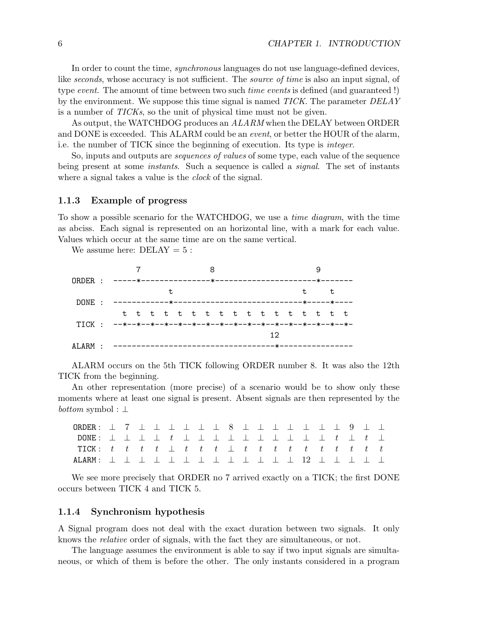In order to count the time, synchronous languages do not use language-defined devices, like seconds, whose accuracy is not sufficient. The *source of time* is also an input signal, of type event. The amount of time between two such *time events* is defined (and guaranteed !) by the environment. We suppose this time signal is named  $TICK$ . The parameter  $DELAY$ is a number of TICKs, so the unit of physical time must not be given.

As output, the WATCHDOG produces an  $ALARM$  when the DELAY between ORDER and DONE is exceeded. This ALARM could be an *event*, or better the HOUR of the alarm, i.e. the number of TICK since the beginning of execution. Its type is integer.

So, inputs and outputs are sequences of values of some type, each value of the sequence being present at some *instants*. Such a sequence is called a *signal*. The set of instants where a signal takes a value is the *clock* of the signal.

## 1.1.3 Example of progress

To show a possible scenario for the WATCHDOG, we use a time diagram, with the time as abciss. Each signal is represented on an horizontal line, with a mark for each value. Values which occur at the same time are on the same vertical.

We assume here:  $DELAY = 5$ :



ALARM occurs on the 5th TICK following ORDER number 8. It was also the 12th TICK from the beginning.

An other representation (more precise) of a scenario would be to show only these moments where at least one signal is present. Absent signals are then represented by the *bottom* symbol :  $\perp$ 

| ORDER : $\bot$ 7 $\bot$ $\bot$ $\bot$ $\bot$ $\bot$ 8 $\bot$ $\bot$ $\bot$ $\bot$ $\bot$ $\bot$ 9 $\bot$ $\bot$ |  |  |  |  |  |  |  |  |  |  |
|-----------------------------------------------------------------------------------------------------------------|--|--|--|--|--|--|--|--|--|--|
|                                                                                                                 |  |  |  |  |  |  |  |  |  |  |
| TICK: $t$ $t$ $t$ $\bot$ $t$ $\bot$ $t$ $\bot$ $t$ $\bot$ $t$ $\bot$ $t$ $\bot$ $t$ $\bot$ $t$ $\bot$ $t$       |  |  |  |  |  |  |  |  |  |  |
| ALARM : ⊥ ⊥ ⊥ ⊥ ⊥ ⊥ ⊥ ⊥ ⊥ ⊥ ⊥ ⊥ ⊥ ⊥ ⊥ ⊥ ⊥ ⊥                                                                     |  |  |  |  |  |  |  |  |  |  |

We see more precisely that ORDER no 7 arrived exactly on a TICK; the first DONE occurs between TICK 4 and TICK 5.

### 1.1.4 Synchronism hypothesis

A Signal program does not deal with the exact duration between two signals. It only knows the relative order of signals, with the fact they are simultaneous, or not.

The language assumes the environment is able to say if two input signals are simultaneous, or which of them is before the other. The only instants considered in a program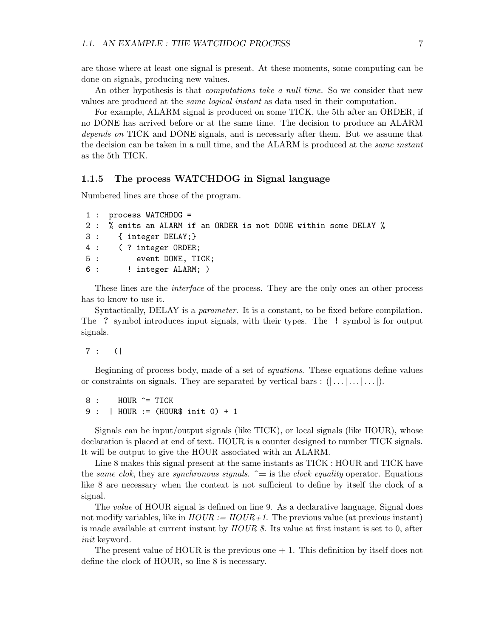are those where at least one signal is present. At these moments, some computing can be done on signals, producing new values.

An other hypothesis is that *computations take a null time*. So we consider that new values are produced at the same logical instant as data used in their computation.

For example, ALARM signal is produced on some TICK, the 5th after an ORDER, if no DONE has arrived before or at the same time. The decision to produce an ALARM depends on TICK and DONE signals, and is necessarly after them. But we assume that the decision can be taken in a null time, and the ALARM is produced at the *same instant* as the 5th TICK.

## 1.1.5 The process WATCHDOG in Signal language

Numbered lines are those of the program.

```
1 : process WATCHDOG =
2 : % emits an ALARM if an ORDER is not DONE within some DELAY %
3 : { integer DELAY;}
4 : ( ? integer ORDER;
5 : event DONE, TICK;
6 : !! integer ALARM; )
```
These lines are the *interface* of the process. They are the only ones an other process has to know to use it.

Syntactically, DELAY is a *parameter*. It is a constant, to be fixed before compilation. The ? symbol introduces input signals, with their types. The ! symbol is for output signals.

7 : (|

Beginning of process body, made of a set of equations. These equations define values or constraints on signals. They are separated by vertical bars :  $(|...|...|...|)$ .

8 : HOUR ^= TICK 9 : | HOUR := (HOUR\$ init 0) + 1

Signals can be input/output signals (like TICK), or local signals (like HOUR), whose declaration is placed at end of text. HOUR is a counter designed to number TICK signals. It will be output to give the HOUR associated with an ALARM.

Line 8 makes this signal present at the same instants as TICK : HOUR and TICK have the same clok, they are synchronous signals.  $\hat{=}$  is the clock equality operator. Equations like 8 are necessary when the context is not sufficient to define by itself the clock of a signal.

The *value* of HOUR signal is defined on line 9. As a declarative language, Signal does not modify variables, like in  $HOUR := HOUR + 1$ . The previous value (at previous instant) is made available at current instant by  $HOUR \$ \$. Its value at first instant is set to 0, after init keyword.

The present value of HOUR is the previous one  $+1$ . This definition by itself does not define the clock of HOUR, so line 8 is necessary.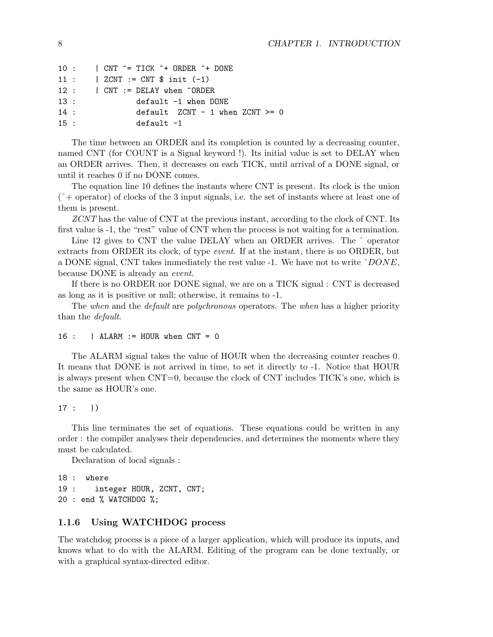```
10 : | CNT ^= TICK ^+ ORDER ^+ DONE
11 : | ZCNT := CNT $ init (-1)
12 : | CNT := DELAY when ^ORDER
13 : default -1 when DONE
14 : default ZCNT - 1 when ZCNT >= 0
15 : default -1
```
The time between an ORDER and its completion is counted by a decreasing counter, named CNT (for COUNT is a Signal keyword !). Its initial value is set to DELAY when an ORDER arrives. Then, it decreases on each TICK, until arrival of a DONE signal, or until it reaches 0 if no DONE comes.

The equation line 10 defines the instants where CNT is present. Its clock is the union  $(*\rightarrow)$  operator) of clocks of the 3 input signals, i.e. the set of instants where at least one of them is present.

ZCNT has the value of CNT at the previous instant, according to the clock of CNT. Its first value is -1, the "rest" value of CNT when the process is not waiting for a termination.

Line 12 gives to CNT the value DELAY when an ORDER arrives. The  $\hat{ }$  operator extracts from ORDER its clock, of type event. If at the instant, there is no ORDER, but a DONE signal, CNT takes immediately the rest value -1. We have not to write ˆDONE, because DONE is already an event.

If there is no ORDER nor DONE signal, we are on a TICK signal : CNT is decreased as long as it is positive or null; otherwise, it remains to -1.

The when and the *default* are *polychronous* operators. The when has a higher priority than the default.

```
16 : | ALARM := HOUR when CNT = 0
```
The ALARM signal takes the value of HOUR when the decreasing counter reaches 0. It means that DONE is not arrived in time, to set it directly to -1. Notice that HOUR is always present when CNT=0, because the clock of CNT includes TICK's one, which is the same as HOUR's one.

 $17 : |)$ 

This line terminates the set of equations. These equations could be written in any order : the compiler analyses their dependencies, and determines the moments where they must be calculated.

Declaration of local signals :

18 : where 19 : integer HOUR, ZCNT, CNT; 20 : end % WATCHDOG %;

## 1.1.6 Using WATCHDOG process

The watchdog process is a piece of a larger application, which will produce its inputs, and knows what to do with the ALARM. Editing of the program can be done textually, or with a graphical syntax-directed editor.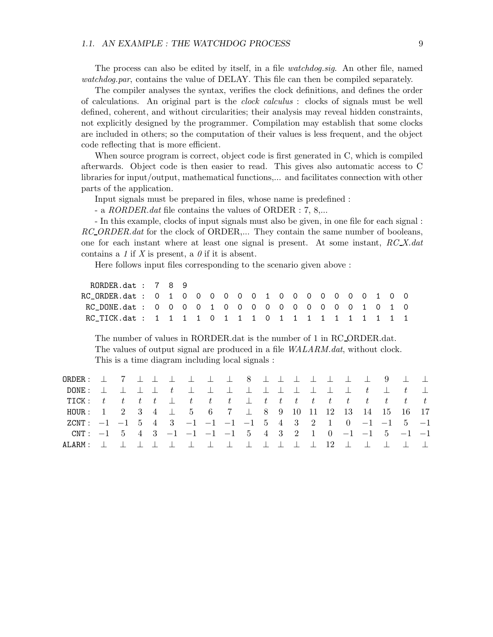The process can also be edited by itself, in a file *watchdog.sig*. An other file, named watchdog.par, contains the value of DELAY. This file can then be compiled separately.

The compiler analyses the syntax, verifies the clock definitions, and defines the order of calculations. An original part is the clock calculus : clocks of signals must be well defined, coherent, and without circularities; their analysis may reveal hidden constraints, not explicitly designed by the programmer. Compilation may establish that some clocks are included in others; so the computation of their values is less frequent, and the object code reflecting that is more efficient.

When source program is correct, object code is first generated in C, which is compiled afterwards. Object code is then easier to read. This gives also automatic access to C libraries for input/output, mathematical functions,... and facilitates connection with other parts of the application.

Input signals must be prepared in files, whose name is predefined :

- a RORDER.dat file contains the values of ORDER : 7, 8,...

- In this example, clocks of input signals must also be given, in one file for each signal : RC\_ORDER.dat for the clock of ORDER,... They contain the same number of booleans, one for each instant where at least one signal is present. At some instant,  $RCX.dat$ contains a 1 if X is present, a  $\theta$  if it is absent.

Here follows input files corresponding to the scenario given above :

RORDER.dat : 7 8 9 RC\_ORDER.dat : 0 1 0 0 0 0 0 0 1 0 0 0 0 0 0 0 1 0 0 RC\_DONE.dat : 0 0 0 0 1 0 0 0 0 0 0 0 0 0 0 1 0 1 0 RC\_TICK.dat : 1 1 1 1 0 1 1 1 0 1 1 1 1 1 1 1 1 1 1

The number of values in RORDER.dat is the number of 1 in RC ORDER.dat. The values of output signal are produced in a file  $WALARM.dat$ , without clock. This is a time diagram including local signals :

| ORDER: $\perp$ 7 $\perp$ $\perp$ $\perp$ $\perp$ $\perp$ 8 $\perp$ $\perp$ $\perp$ $\perp$ $\perp$ 9 $\perp$ $\perp$                                                      |  |  |  |  |  |  |  |  |  |  |
|---------------------------------------------------------------------------------------------------------------------------------------------------------------------------|--|--|--|--|--|--|--|--|--|--|
|                                                                                                                                                                           |  |  |  |  |  |  |  |  |  |  |
|                                                                                                                                                                           |  |  |  |  |  |  |  |  |  |  |
| HOUR: $1 \quad 2 \quad 3 \quad 4 \quad \perp \quad 5 \quad 6 \quad 7 \quad \perp \quad 8 \quad 9 \quad 10 \quad 11 \quad 12 \quad 13 \quad 14 \quad 15 \quad 16 \quad 17$ |  |  |  |  |  |  |  |  |  |  |
| ZCNT: $-1$ $-1$ 5 4 3 $-1$ $-1$ $-1$ $-1$ 5 4 3 2 1 0 $-1$ $-1$ 5 $-1$                                                                                                    |  |  |  |  |  |  |  |  |  |  |
| CNT: $-1$ 5 4 3 $-1$ $-1$ $-1$ $-1$ 5 4 3 2 1 0 $-1$ $-1$ 5 $-1$ $-1$                                                                                                     |  |  |  |  |  |  |  |  |  |  |
| ALARM: $\perp$ $\perp$ $\perp$ $\perp$ $\perp$ $\perp$ $\perp$ $\perp$ $\perp$ $\perp$ $\perp$ $\perp$ $\perp$ $\perp$                                                    |  |  |  |  |  |  |  |  |  |  |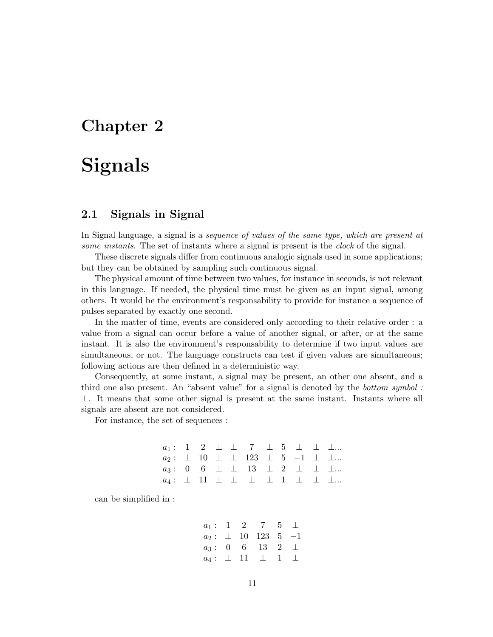# Chapter 2

# Signals

# 2.1 Signals in Signal

In Signal language, a signal is a sequence of values of the same type, which are present at some instants. The set of instants where a signal is present is the *clock* of the signal.

These discrete signals differ from continuous analogic signals used in some applications; but they can be obtained by sampling such continuous signal.

The physical amount of time between two values, for instance in seconds, is not relevant in this language. If needed, the physical time must be given as an input signal, among others. It would be the environment's responsability to provide for instance a sequence of pulses separated by exactly one second.

In the matter of time, events are considered only according to their relative order : a value from a signal can occur before a value of another signal, or after, or at the same instant. It is also the environment's responsability to determine if two input values are simultaneous, or not. The language constructs can test if given values are simultaneous; following actions are then defined in a deterministic way.

Consequently, at some instant, a signal may be present, an other one absent, and a third one also present. An "absent value" for a signal is denoted by the bottom symbol :  $\perp$ . It means that some other signal is present at the same instant. Instants where all signals are absent are not considered.

For instance, the set of sequences :

|  |  | $a_1:$ 1 2 $\perp$ 1 7 $\perp$ 5 $\perp$ $\perp$ $\perp$                                                   |  |  |  |
|--|--|------------------------------------------------------------------------------------------------------------|--|--|--|
|  |  | $a_2: \perp 10 \perp \perp 123 \perp 5 \perp \perp \perp $                                                 |  |  |  |
|  |  | $a_3: 0 \quad 6 \quad \perp \quad \perp \quad 13 \quad \perp \quad 2 \quad \perp \quad \perp \quad \perp $ |  |  |  |
|  |  | $a_4:$ $\perp$ 11 $\perp$ $\perp$ $\perp$ $\perp$ 1 $\perp$ $\perp$ $\perp$                                |  |  |  |

can be simplified in :

$$
\begin{array}{ccccccccc} a_1:&1&2&7&5&\bot\\ a_2:&\bot&10&123&5&-1\\ a_3:&0&6&13&2&\bot\\ a_4:&\bot&11&\bot&1&\bot \end{array}
$$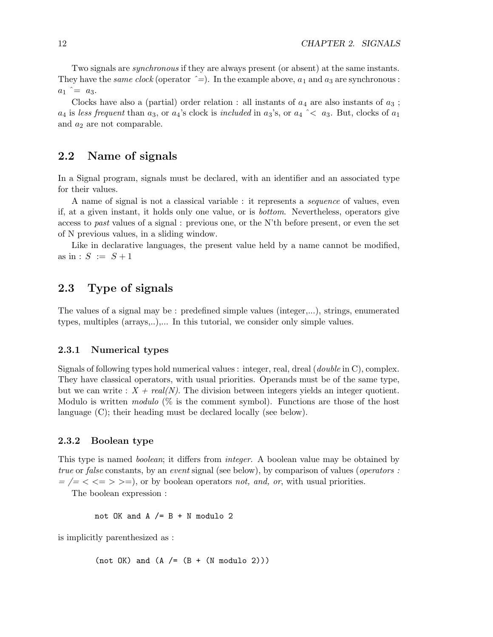Two signals are synchronous if they are always present (or absent) at the same instants. They have the *same clock* (operator  $\hat{=}$ ). In the example above,  $a_1$  and  $a_3$  are synchronous :  $a_1$   $\hat{=}$   $a_3$ .

Clocks have also a (partial) order relation : all instants of  $a_4$  are also instants of  $a_3$ ;  $a_4$  is less frequent than  $a_3$ , or  $a_4$ 's clock is included in  $a_3$ 's, or  $a_4 \sim a_3$ . But, clocks of  $a_1$ and  $a_2$  are not comparable.

# 2.2 Name of signals

In a Signal program, signals must be declared, with an identifier and an associated type for their values.

A name of signal is not a classical variable : it represents a sequence of values, even if, at a given instant, it holds only one value, or is bottom. Nevertheless, operators give access to past values of a signal : previous one, or the N'th before present, or even the set of N previous values, in a sliding window.

Like in declarative languages, the present value held by a name cannot be modified, as in :  $S := S + 1$ 

# 2.3 Type of signals

The values of a signal may be : predefined simple values (integer,...), strings, enumerated types, multiples (arrays,..),... In this tutorial, we consider only simple values.

### 2.3.1 Numerical types

Signals of following types hold numerical values : integer, real, dreal (double in C), complex. They have classical operators, with usual priorities. Operands must be of the same type, but we can write :  $X + real(N)$ . The division between integers yields an integer quotient. Modulo is written *modulo*  $(\%$  is the comment symbol). Functions are those of the host language (C); their heading must be declared locally (see below).

# 2.3.2 Boolean type

This type is named *boolean*; it differs from *integer*. A boolean value may be obtained by true or false constants, by an event signal (see below), by comparison of values (*operators* :  $=$  /= < <= > >=), or by boolean operators not, and, or, with usual priorities.

The boolean expression :

not OK and A  $/=$  B + N modulo 2

is implicitly parenthesized as :

 $(not OK)$  and  $(A / = (B + (N modulo 2)))$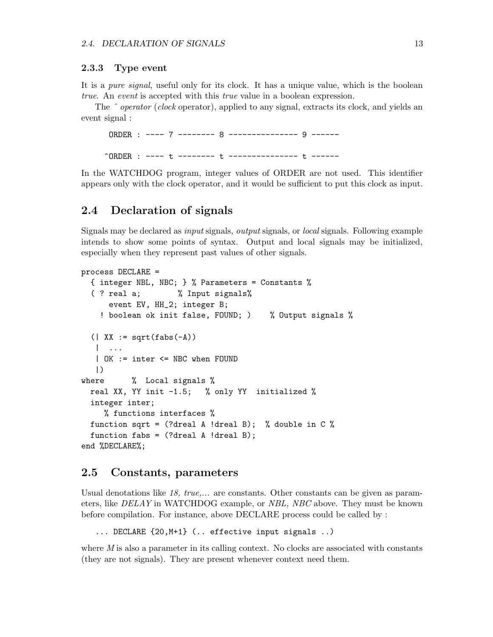## 2.3.3 Type event

It is a pure signal, useful only for its clock. It has a unique value, which is the boolean true. An event is accepted with this true value in a boolean expression.

The  $\hat{\ }$  *operator (clock* operator), applied to any signal, extracts its clock, and yields an event signal :

ORDER : ---- 7 -------- 8 --------------- 9 ------ ^ORDER : ---- t -------- t --------------- t ------

In the WATCHDOG program, integer values of ORDER are not used. This identifier appears only with the clock operator, and it would be sufficient to put this clock as input.

# 2.4 Declaration of signals

Signals may be declared as input signals, output signals, or local signals. Following example intends to show some points of syntax. Output and local signals may be initialized, especially when they represent past values of other signals.

```
process DECLARE =
  { integer NBL, NBC; } % Parameters = Constants %
  ( ? real a; % Input signals%
     event EV, HH_2; integer B;
    ! boolean ok init false, FOUND; ) % Output signals %
  (| XX := sqrt(fabs(-A))| ...
   | OK := inter <= NBC when FOUND
   |)
where % Local signals %
  real XX, YY init -1.5; % only YY initialized %
  integer inter;
    % functions interfaces %
  function sqrt = (?dreal A !dreal B); % double in C %
  function fabs = (?dreal A !dreal B);end %DECLARE%;
```
# 2.5 Constants, parameters

Usual denotations like 18, true,... are constants. Other constants can be given as parameters, like DELAY in WATCHDOG example, or NBL, NBC above. They must be known before compilation. For instance, above DECLARE process could be called by :

... DECLARE {20,M+1} (.. effective input signals ..)

where  $M$  is also a parameter in its calling context. No clocks are associated with constants (they are not signals). They are present whenever context need them.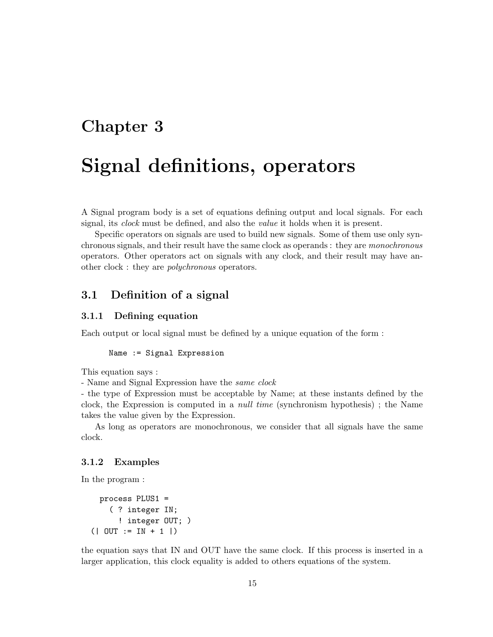# Chapter 3

# Signal definitions, operators

A Signal program body is a set of equations defining output and local signals. For each signal, its clock must be defined, and also the value it holds when it is present.

Specific operators on signals are used to build new signals. Some of them use only synchronous signals, and their result have the same clock as operands : they are monochronous operators. Other operators act on signals with any clock, and their result may have another clock : they are polychronous operators.

# 3.1 Definition of a signal

# 3.1.1 Defining equation

Each output or local signal must be defined by a unique equation of the form :

```
Name := Signal Expression
```
This equation says :

- Name and Signal Expression have the same clock

- the type of Expression must be acceptable by Name; at these instants defined by the clock, the Expression is computed in a null time (synchronism hypothesis) ; the Name takes the value given by the Expression.

As long as operators are monochronous, we consider that all signals have the same clock.

# 3.1.2 Examples

In the program :

```
process PLUS1 =
    ( ? integer IN;
      ! integer OUT; )
(| OUT := IN + 1 |)
```
the equation says that IN and OUT have the same clock. If this process is inserted in a larger application, this clock equality is added to others equations of the system.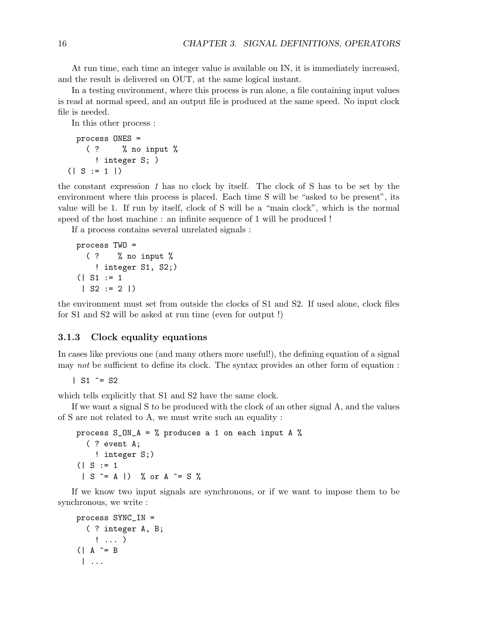At run time, each time an integer value is available on IN, it is immediately increased, and the result is delivered on OUT, at the same logical instant.

In a testing environment, where this process is run alone, a file containing input values is read at normal speed, and an output file is produced at the same speed. No input clock file is needed.

In this other process :

```
process ONES =
   ( ? % no input %
      ! integer S; )
(| S := 1 |)
```
the constant expression 1 has no clock by itself. The clock of S has to be set by the environment where this process is placed. Each time S will be "asked to be present", its value will be 1. If run by itself, clock of S will be a "main clock", which is the normal speed of the host machine : an infinite sequence of 1 will be produced !

If a process contains several unrelated signals :

```
process TWO =
  ( ? % no input %
    ! integer S1, S2;)
(| S1 := 1
 | S2 := 2 |
```
the environment must set from outside the clocks of S1 and S2. If used alone, clock files for S1 and S2 will be asked at run time (even for output !)

# 3.1.3 Clock equality equations

In cases like previous one (and many others more useful!), the defining equation of a signal may not be sufficient to define its clock. The syntax provides an other form of equation :

```
| S1 \hat{ } = S2
```
which tells explicitly that S1 and S2 have the same clock.

If we want a signal S to be produced with the clock of an other signal A, and the values of S are not related to A, we must write such an equality :

```
process S_M_A = % produces a 1 on each input A %
  ( ? event A;
    ! integer S;)
( | S := 1| S ^= A |) % or A ^= S %
```
If we know two input signals are synchronous, or if we want to impose them to be synchronous, we write :

```
process SYNC_IN =
  ( ? integer A, B;
    ! ... )
(| A \hat{ } = B
 | ...
```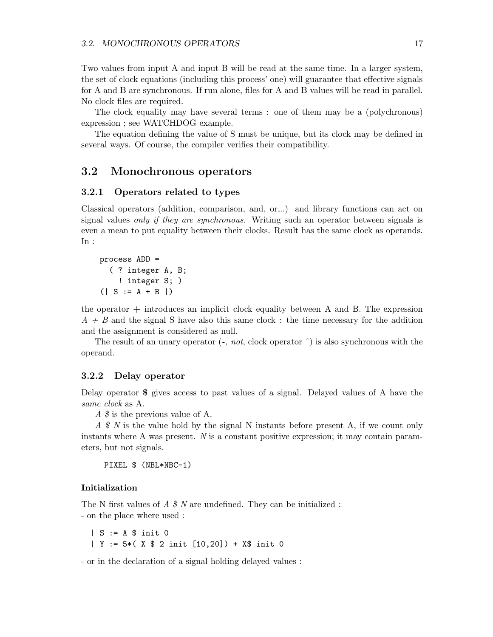Two values from input A and input B will be read at the same time. In a larger system, the set of clock equations (including this process' one) will guarantee that effective signals for A and B are synchronous. If run alone, files for A and B values will be read in parallel. No clock files are required.

The clock equality may have several terms : one of them may be a (polychronous) expression ; see WATCHDOG example.

The equation defining the value of S must be unique, but its clock may be defined in several ways. Of course, the compiler verifies their compatibility.

# 3.2 Monochronous operators

### 3.2.1 Operators related to types

Classical operators (addition, comparison, and, or,..) and library functions can act on signal values only if they are synchronous. Writing such an operator between signals is even a mean to put equality between their clocks. Result has the same clock as operands. In :

```
process ADD =
  ( ? integer A, B;
    ! integer S; )
( | S := A + B | )
```
the operator  $+$  introduces an implicit clock equality between A and B. The expression  $A + B$  and the signal S have also this same clock : the time necessary for the addition and the assignment is considered as null.

The result of an unary operator  $($ -, *not*, clock operator  $\hat{\ }$ ) is also synchronous with the operand.

### 3.2.2 Delay operator

Delay operator \$ gives access to past values of a signal. Delayed values of A have the same clock as A.

A \$ is the previous value of A.

 $A \$  N is the value hold by the signal N instants before present A, if we count only instants where A was present. N is a constant positive expression; it may contain parameters, but not signals.

```
PIXEL $ (NBL*NBC-1)
```
### Initialization

The N first values of  $A \$  N are undefined. They can be initialized : - on the place where used :

| S := A \$ init 0 | Y := 5\*( X \$ 2 init [10,20]) + X\$ init 0

- or in the declaration of a signal holding delayed values :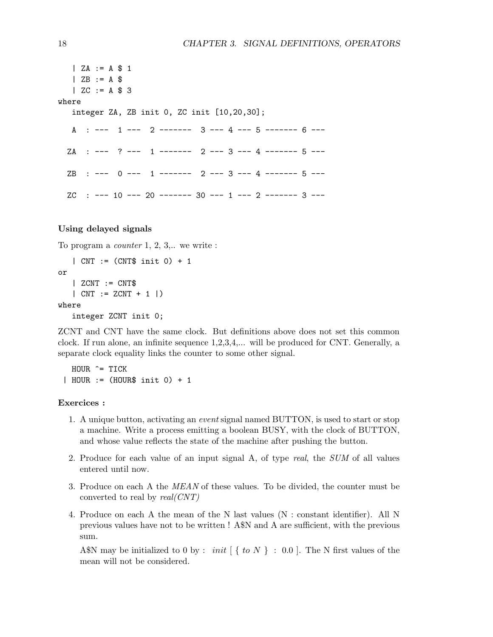$| ZA := A $ 1$  $|$  ZB  $:= A $$  $|$  ZC  $:= A $ 3$ where integer ZA, ZB init 0, ZC init [10,20,30]; A : --- 1 --- 2 ------- 3 --- 4 --- 5 ------- 6 ---ZA : --- ? --- 1 ------- 2 --- 3 --- 4 ------- 5 ---  $\text{ZB}$  : --- 0 --- 1 ------- 2 --- 3 --- 4 ------- 5 --- $ZC$  : --- 10 --- 20 ------- 30 --- 1 --- 2 ------- 3 ---

### Using delayed signals

To program a counter 1, 2, 3,.. we write :

| CNT := (CNT\$ init 0) + 1 or | ZCNT := CNT\$ | CNT := ZCNT + 1 |) where integer ZCNT init 0;

ZCNT and CNT have the same clock. But definitions above does not set this common clock. If run alone, an infinite sequence 1,2,3,4,... will be produced for CNT. Generally, a separate clock equality links the counter to some other signal.

HOUR ^= TICK | HOUR := (HOUR\$ init 0) + 1

# Exercices :

- 1. A unique button, activating an event signal named BUTTON, is used to start or stop a machine. Write a process emitting a boolean BUSY, with the clock of BUTTON, and whose value reflects the state of the machine after pushing the button.
- 2. Produce for each value of an input signal A, of type real, the SUM of all values entered until now.
- 3. Produce on each A the MEAN of these values. To be divided, the counter must be converted to real by  $real(CNT)$
- 4. Produce on each A the mean of the N last values (N : constant identifier). All N previous values have not to be written ! A\$N and A are sufficient, with the previous sum.

A\$N may be initialized to 0 by : *init*  $\{ to N \} : 0.0 \}.$  The N first values of the mean will not be considered.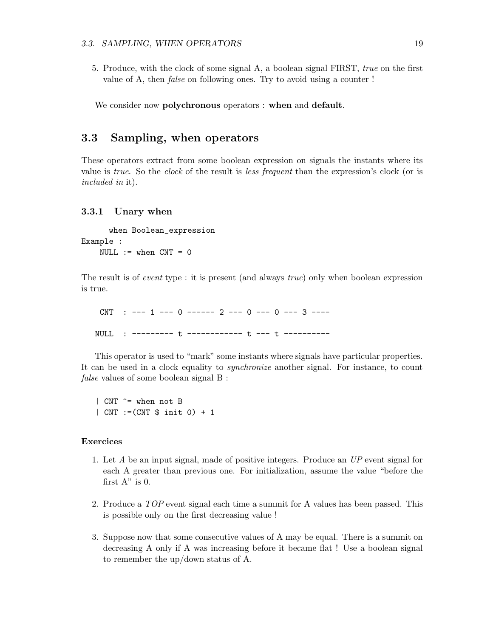5. Produce, with the clock of some signal A, a boolean signal FIRST, true on the first value of A, then false on following ones. Try to avoid using a counter !

We consider now polychronous operators : when and default.

# 3.3 Sampling, when operators

These operators extract from some boolean expression on signals the instants where its value is true. So the clock of the result is less frequent than the expression's clock (or is included in it).

### 3.3.1 Unary when

when Boolean\_expression Example : NULL  $:=$  when  $CNT = 0$ 

The result is of event type : it is present (and always true) only when boolean expression is true.

 $CNT$  : --- 1 --- 0 ------ 2 --- 0 --- 0 --- 3 ----NULL : --------- t ------------ t --- t ----------

This operator is used to "mark" some instants where signals have particular properties. It can be used in a clock equality to synchronize another signal. For instance, to count false values of some boolean signal B:

| CNT ^= when not B | CNT :=(CNT \$ init 0) + 1

# Exercices

- 1. Let A be an input signal, made of positive integers. Produce an UP event signal for each A greater than previous one. For initialization, assume the value "before the first  $A$ " is 0.
- 2. Produce a TOP event signal each time a summit for A values has been passed. This is possible only on the first decreasing value !
- 3. Suppose now that some consecutive values of A may be equal. There is a summit on decreasing A only if A was increasing before it became flat ! Use a boolean signal to remember the up/down status of A.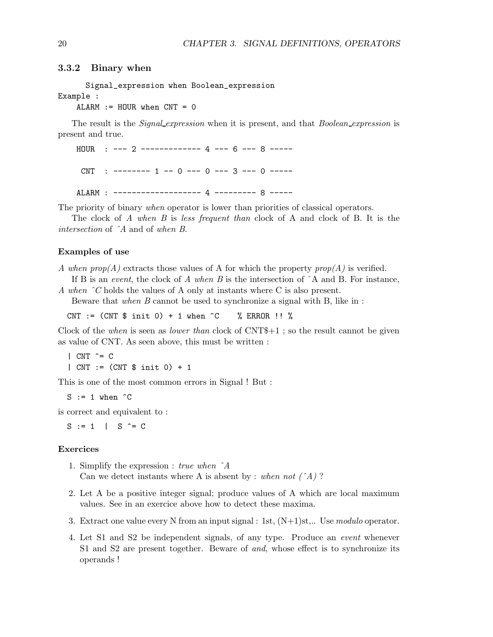### 3.3.2 Binary when

Signal\_expression when Boolean\_expression Example :

 $ALARM := HOUR when CNT = 0$ 

The result is the *Signal expression* when it is present, and that *Boolean expression* is present and true.

HOUR : --- 2 ------------- 4 --- 6 --- 8 -----  $CNT$  : ------- 1 -- 0 --- 0 --- 3 --- 0 -----ALARM : ------------------- 4 --------- 8 -----

The priority of binary *when* operator is lower than priorities of classical operators.

The clock of A when B is less frequent than clock of A and clock of B. It is the intersection of ˆA and of when B.

### Examples of use

A when  $prop(A)$  extracts those values of A for which the property  $prop(A)$  is verified.

If B is an event, the clock of A when B is the intersection of  $\hat{A}$  and B. For instance, A when  $\hat{C}$  holds the values of A only at instants where C is also present.

Beware that when B cannot be used to synchronize a signal with B, like in :

CNT := (CNT \$ init 0) + 1 when  $\hat{C}$  % ERROR !! %

Clock of the when is seen as *lower than* clock of  $CNT<sup>4</sup> + 1$ ; so the result cannot be given as value of CNT. As seen above, this must be written :

 $|$  CNT  $\hat{c}$  = C | CNT := (CNT \$ init 0) + 1

This is one of the most common errors in Signal ! But :

 $S := 1$  when  $\hat{C}$ 

is correct and equivalent to :

 $S := 1$  |  $S = C$ 

## Exercices

- 1. Simplify the expression : true when ˆA Can we detect instants where A is absent by : when not  $(\hat{A})$ ?
- 2. Let A be a positive integer signal; produce values of A which are local maximum values. See in an exercice above how to detect these maxima.
- 3. Extract one value every N from an input signal : 1st,  $(N+1)$ st,.. Use modulo operator.
- 4. Let S1 and S2 be independent signals, of any type. Produce an event whenever S1 and S2 are present together. Beware of and, whose effect is to synchronize its operands !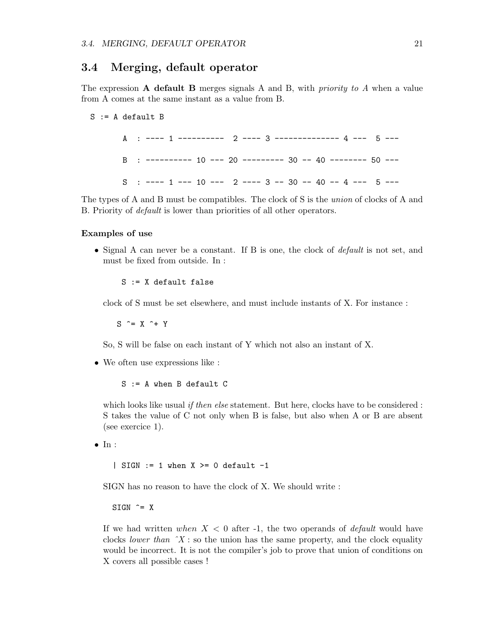# 3.4 Merging, default operator

The expression  $A$  default  $B$  merges signals  $A$  and  $B$ , with *priority to*  $A$  when a value from A comes at the same instant as a value from B.

#### $S := A$  default  $B$

A : ---- 1 ---------- 2 ---- 3 -------------- 4 --- 5 --- B : ---------- 10 --- 20 --------- 30 -- 40 -------- 50 ---  $S$  : ---- 1 --- 10 --- 2 ---- 3 -- 30 -- 40 -- 4 --- 5 ---

The types of A and B must be compatibles. The clock of S is the union of clocks of A and B. Priority of default is lower than priorities of all other operators.

## Examples of use

• Signal A can never be a constant. If B is one, the clock of *default* is not set, and must be fixed from outside. In :

S := X default false

clock of S must be set elsewhere, and must include instants of X. For instance :

 $S \cong X \hat{+} Y$ 

So, S will be false on each instant of Y which not also an instant of X.

• We often use expressions like :

S := A when B default C

which looks like usual *if then else* statement. But here, clocks have to be considered : S takes the value of C not only when B is false, but also when A or B are absent (see exercice 1).

 $\bullet$  In :

| SIGN  $:= 1$  when  $X \ge 0$  default  $-1$ 

SIGN has no reason to have the clock of X. We should write :

 $SIGN$   $\hat{=}$  X

If we had written when  $X < 0$  after -1, the two operands of *default* would have clocks *lower than*  $\hat{X}$ : so the union has the same property, and the clock equality would be incorrect. It is not the compiler's job to prove that union of conditions on X covers all possible cases !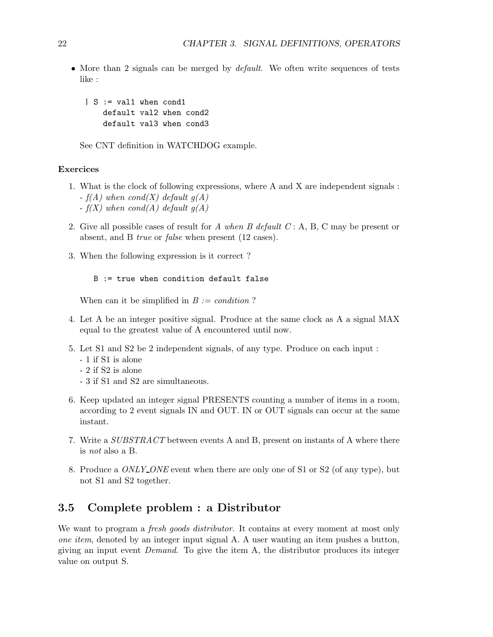• More than 2 signals can be merged by *default*. We often write sequences of tests like :

| S := val1 when cond1 default val2 when cond2 default val3 when cond3

See CNT definition in WATCHDOG example.

### Exercices

- 1. What is the clock of following expressions, where A and X are independent signals :  $-f(A)$  when cond(X) default  $q(A)$ 
	- $-f(X)$  when cond(A) default  $g(A)$
- 2. Give all possible cases of result for A when B default  $C: A, B, C$  may be present or absent, and B true or false when present (12 cases).
- 3. When the following expression is it correct ?

```
B := true when condition default false
```
When can it be simplified in  $B := condition$  ?

- 4. Let A be an integer positive signal. Produce at the same clock as A a signal MAX equal to the greatest value of A encountered until now.
- 5. Let S1 and S2 be 2 independent signals, of any type. Produce on each input :
	- 1 if S1 is alone
	- 2 if S2 is alone
	- 3 if S1 and S2 are simultaneous.
- 6. Keep updated an integer signal PRESENTS counting a number of items in a room, according to 2 event signals IN and OUT. IN or OUT signals can occur at the same instant.
- 7. Write a SUBSTRACT between events A and B, present on instants of A where there is not also a B.
- 8. Produce a *ONLY\_ONE* event when there are only one of S1 or S2 (of any type), but not S1 and S2 together.

# 3.5 Complete problem : a Distributor

We want to program a *fresh goods distributor*. It contains at every moment at most only one item, denoted by an integer input signal A. A user wanting an item pushes a button, giving an input event Demand. To give the item A, the distributor produces its integer value on output S.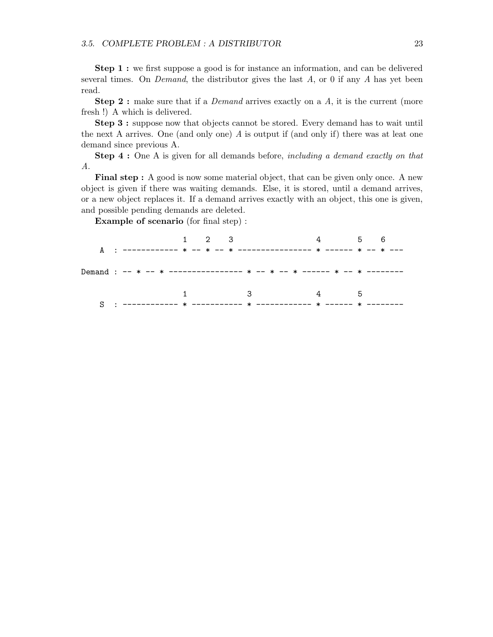Step 1 : we first suppose a good is for instance an information, and can be delivered several times. On *Demand*, the distributor gives the last  $A$ , or 0 if any  $A$  has yet been read.

**Step 2**: make sure that if a *Demand* arrives exactly on a  $A$ , it is the current (more fresh !) A which is delivered.

Step 3 : suppose now that objects cannot be stored. Every demand has to wait until the next A arrives. One (and only one) A is output if (and only if) there was at leat one demand since previous A.

**Step 4 :** One A is given for all demands before, *including a demand exactly on that* A.

Final step : A good is now some material object, that can be given only once. A new object is given if there was waiting demands. Else, it is stored, until a demand arrives, or a new object replaces it. If a demand arrives exactly with an object, this one is given, and possible pending demands are deleted.

Example of scenario (for final step) :

|  |                             |  |  | $1 \quad 2 \quad 3 \quad 4 \quad 5 \quad 6$ |  |  |  |
|--|-----------------------------|--|--|---------------------------------------------|--|--|--|
|  |                             |  |  |                                             |  |  |  |
|  | $1$ and $3$ and $4$ and $5$ |  |  |                                             |  |  |  |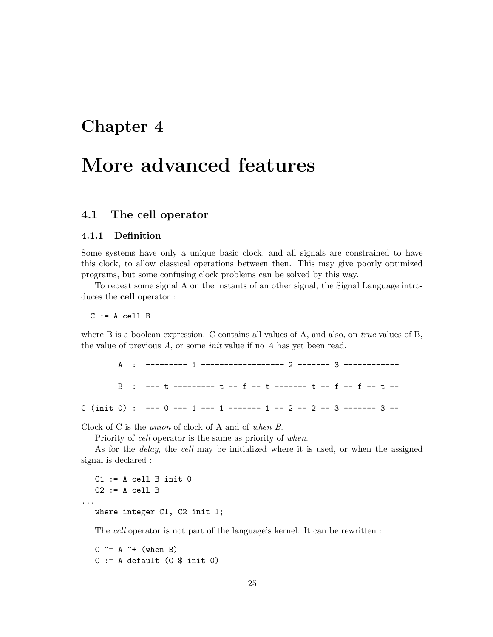# Chapter 4

# More advanced features

# 4.1 The cell operator

## 4.1.1 Definition

Some systems have only a unique basic clock, and all signals are constrained to have this clock, to allow classical operations between then. This may give poorly optimized programs, but some confusing clock problems can be solved by this way.

To repeat some signal A on the instants of an other signal, the Signal Language introduces the cell operator :

 $C := A$  cell  $B$ 

where B is a boolean expression. C contains all values of A, and also, on *true* values of B, the value of previous  $A$ , or some *init* value if no  $A$  has yet been read.

| B : --- t -------- t -- f -- t ------- t -- f -- t -- t -- |
|------------------------------------------------------------|
|                                                            |

Clock of C is the union of clock of A and of when B.

Priority of cell operator is the same as priority of when.

As for the delay, the cell may be initialized where it is used, or when the assigned signal is declared :

 $C1 := A$  cell  $B$  init  $0$ | C2 := A cell B ... where integer C1, C2 init 1;

The cell operator is not part of the language's kernel. It can be rewritten :

 $C \cong A \hat{+}$  (when B)  $C := A$  default  $(C \$  init 0)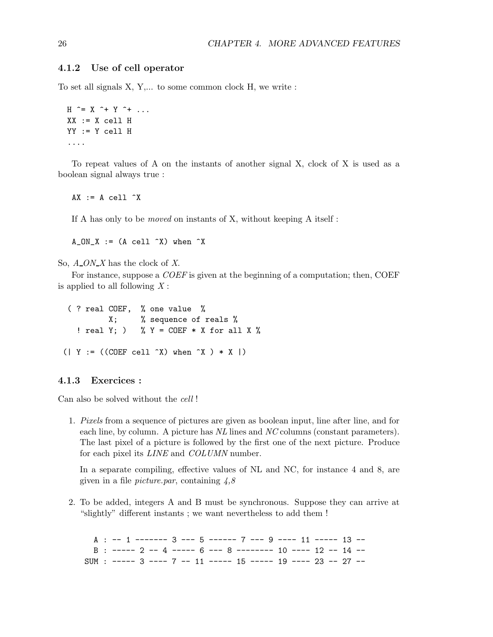# 4.1.2 Use of cell operator

To set all signals X, Y,... to some common clock H, we write :

```
H \cong X \hat{ } + Y \hat{ } + \dotsXX := X cell HYY := Y cell H
....
```
To repeat values of A on the instants of another signal X, clock of X is used as a boolean signal always true :

 $AX := A$  cell  $\hat{X}$ 

If A has only to be moved on instants of X, without keeping A itself :

 $A_ON_X := (A \text{ cell } \hat{X})$  when  $\hat{X}$ 

So,  $A$ <sub>*ON\_X*</sub> has the clock of X.

For instance, suppose a *COEF* is given at the beginning of a computation; then, COEF is applied to all following  $X$ :

```
( ? real COEF, % one value %
           X; % sequence of reals %
   ! real Y; ) % Y = COEF * X for all X %
( | Y := ((CDEF \text{ cell } \hat{X}) \text{ when } \hat{X} ) * X | )
```
### 4.1.3 Exercices :

Can also be solved without the cell !

1. Pixels from a sequence of pictures are given as boolean input, line after line, and for each line, by column. A picture has NL lines and NC columns (constant parameters). The last pixel of a picture is followed by the first one of the next picture. Produce for each pixel its *LINE* and *COLUMN* number.

In a separate compiling, effective values of NL and NC, for instance 4 and 8, are given in a file *picture.par*, containing  $4,8$ 

2. To be added, integers A and B must be synchronous. Suppose they can arrive at "slightly" different instants ; we want nevertheless to add them !

A : -- 1 ------- 3 --- 5 ------ 7 --- 9 ---- 11 ----- 13 -- B : ----- 2 -- 4 ----- 6 --- 8 -------- 10 ---- 12 -- 14 -- SUM : ----- 3 ---- 7 -- 11 ----- 15 ----- 19 ---- 23 -- 27 --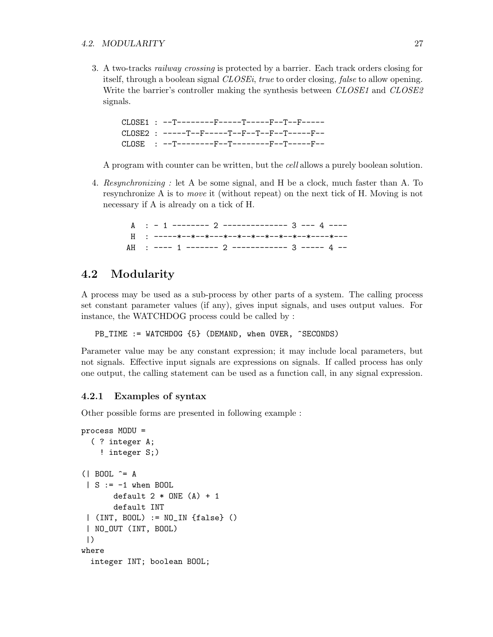### 4.2. MODULARITY 27

3. A two-tracks railway crossing is protected by a barrier. Each track orders closing for itself, through a boolean signal *CLOSEi*, true to order closing, false to allow opening. Write the barrier's controller making the synthesis between CLOSE1 and CLOSE2 signals.

CLOSE1 : --T--------F-----T-----F--T--F----- CLOSE2 : -----T--F-----T--F--T--F--T-----F-- CLOSE : --T--------F--T--------F--T-----F--

A program with counter can be written, but the cell allows a purely boolean solution.

4. Resynchronizing : let A be some signal, and H be a clock, much faster than A. To resynchronize A is to move it (without repeat) on the next tick of H. Moving is not necessary if A is already on a tick of H.

> $A : -1$  -------- 2 -------------- 3 --- 4 ----H : -----\*--\*--\*---\*--\*--\*--\*--\*--\*--\*----\*--- AH : ---- 1 ------- 2 ------------ 3 ----- 4 --

# 4.2 Modularity

A process may be used as a sub-process by other parts of a system. The calling process set constant parameter values (if any), gives input signals, and uses output values. For instance, the WATCHDOG process could be called by :

PB\_TIME := WATCHDOG {5} (DEMAND, when OVER, ^SECONDS)

Parameter value may be any constant expression; it may include local parameters, but not signals. Effective input signals are expressions on signals. If called process has only one output, the calling statement can be used as a function call, in any signal expression.

## 4.2.1 Examples of syntax

Other possible forms are presented in following example :

```
process MODU =
  ( ? integer A;
    ! integer S;)
(| BOOL ^= A
 | S := -1 when BOOL
       default 2 * ONE(A) + 1default INT
 | (INT, BOOL) := NO_IN {false} ()
 | NO_OUT (INT, BOOL)
 |)
where
  integer INT; boolean BOOL;
```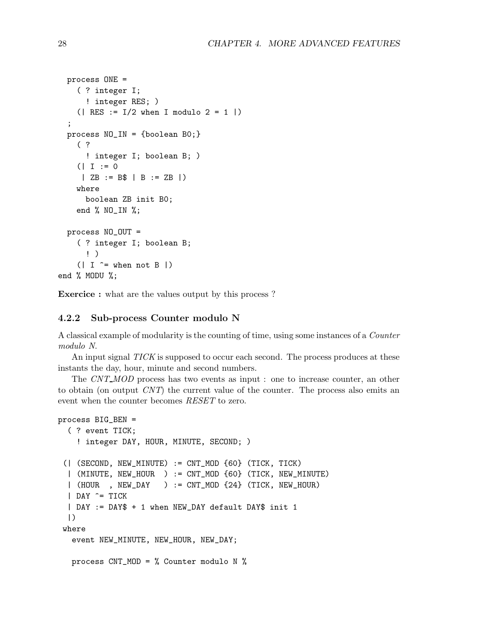```
process ONE =
    ( ? integer I;
      ! integer RES; )
    ( | RES := I/2 when I modulo 2 = 1 | );
 process NO_IN = {boolean B0;}
    ( ?
      ! integer I; boolean B; )
    (| I := 0
     | ZB := B$ | B := ZB |)
    where
      boolean ZB init B0;
    end % NO_IN %;
 process NO_OUT =
    ( ? integer I; boolean B;
      ! )
    (| I \hat{=} when not B |)
end % MODU %;
```
Exercice : what are the values output by this process ?

### 4.2.2 Sub-process Counter modulo N

A classical example of modularity is the counting of time, using some instances of a Counter modulo N.

An input signal TICK is supposed to occur each second. The process produces at these instants the day, hour, minute and second numbers.

The CNT\_MOD process has two events as input : one to increase counter, an other to obtain (on output CNT) the current value of the counter. The process also emits an event when the counter becomes RESET to zero.

```
process BIG_BEN =
  ( ? event TICK;
    ! integer DAY, HOUR, MINUTE, SECOND; )
 (| (SECOND, NEW_MINUTE) := CNT_MOD {60} (TICK, TICK)
  | (MINUTE, NEW_HOUR ) := CNT_MOD {60} (TICK, NEW_MINUTE)
  | (HOUR , NEW_DAY ) := CNT_MOD {24} (TICK, NEW_HOUR)
  | DAY ^= TICK
  | DAY := DAY$ + 1 when NEW_DAY default DAY$ init 1
  |)
 where
  event NEW_MINUTE, NEW_HOUR, NEW_DAY;
  process CNT_MOD = % Counter modulo N %
```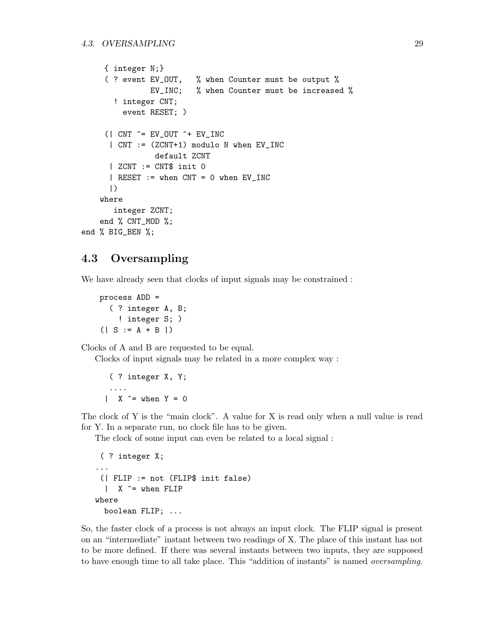```
{ integer N;}
     ( ? event EV_OUT, % when Counter must be output %
               EV_INC; % when Counter must be increased %
       ! integer CNT;
         event RESET; )
     (| CNT \hat{=} EV_OUT \hat{=} EV_INC
      | CNT := (ZCNT+1) modulo N when EV_INC
                default ZCNT
      | ZCNT := CNT$ init 0
      | RESET := when CNT = 0 when EV_INC
      |)
    where
       integer ZCNT;
    end % CNT_MOD %;
end % BIG_BEN %;
```
# 4.3 Oversampling

We have already seen that clocks of input signals may be constrained :

```
process ADD =
  ( ? integer A, B;
    ! integer S; )
( | S := A + B | )
```
Clocks of A and B are requested to be equal.

Clocks of input signals may be related in a more complex way :

```
( ? integer X, Y;
 ....
| X \stackrel{\frown}{=} \text{when } Y = 0
```
The clock of Y is the "main clock". A value for X is read only when a null value is read for Y. In a separate run, no clock file has to be given.

The clock of some input can even be related to a local signal :

```
( ? integer X;
...
 (| FLIP := not (FLIP$ init false)
  | X ^= when FLIP
where
 boolean FLIP; ...
```
So, the faster clock of a process is not always an input clock. The FLIP signal is present on an "intermediate" instant between two readings of X. The place of this instant has not to be more defined. If there was several instants between two inputs, they are supposed to have enough time to all take place. This "addition of instants" is named oversampling.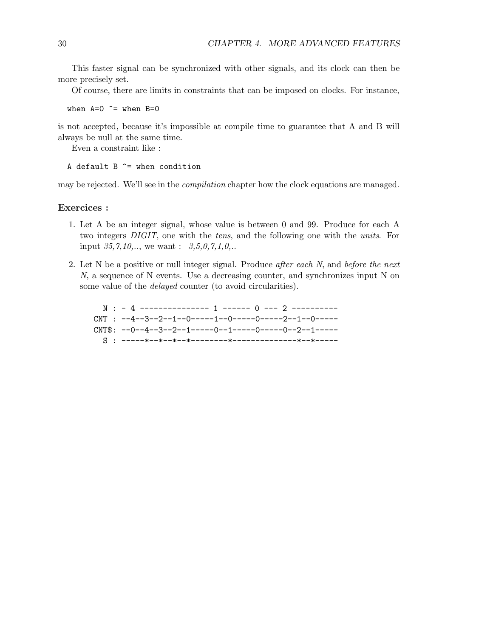This faster signal can be synchronized with other signals, and its clock can then be more precisely set.

Of course, there are limits in constraints that can be imposed on clocks. For instance,

when  $A=0$   $\hat{ }$  = when  $B=0$ 

is not accepted, because it's impossible at compile time to guarantee that A and B will always be null at the same time.

Even a constraint like :

### A default  $B \cong$  when condition

may be rejected. We'll see in the compilation chapter how the clock equations are managed.

## Exercices :

- 1. Let A be an integer signal, whose value is between 0 and 99. Produce for each A two integers DIGIT, one with the tens, and the following one with the units. For input  $35,7,10,...$ , we want :  $3,5,0,7,1,0...$
- 2. Let  $N$  be a positive or null integer signal. Produce *after each*  $N$ , and *before the next* N, a sequence of N events. Use a decreasing counter, and synchronizes input N on some value of the delayed counter (to avoid circularities).

N : - 4 --------------- 1 ------ 0 --- 2 ---------- CNT : --4--3--2--1--0-----1--0-----0-----2--1--0-----  $CNT$ \$: --0--4--3--2--1-----0--1-----0----0--2--1-----S : -----\*--\*--\*--\*--------\*--------------\*--\*-----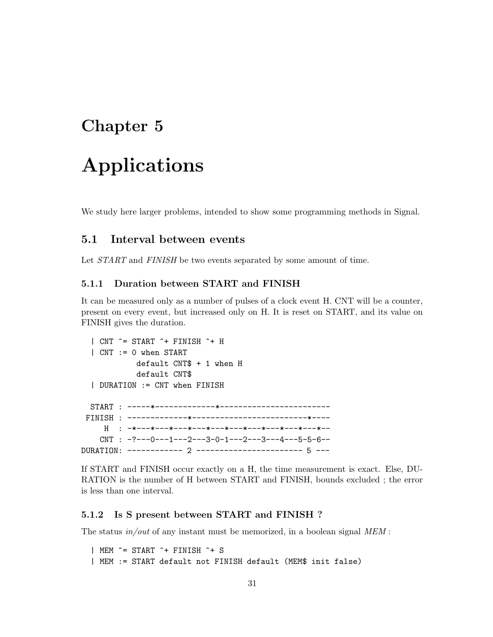# Chapter 5

# Applications

We study here larger problems, intended to show some programming methods in Signal.

# 5.1 Interval between events

Let  $START$  and  $FINISH$  be two events separated by some amount of time.

# 5.1.1 Duration between START and FINISH

It can be measured only as a number of pulses of a clock event H. CNT will be a counter, present on every event, but increased only on H. It is reset on START, and its value on FINISH gives the duration.

```
| CNT ^= START ^+ FINISH ^+ H
  | CNT := 0 when START
            default CNT$ + 1 when H
            default CNT$
  | DURATION := CNT when FINISH
  START : -----*-------------*------------------------
 FINISH : -------------*-------------------------*----
     H : -*---*---*---*---*---*---*---*---*---*---*--
    CNT : -?--0---1---2---3-0-1---2---3---4---5-5-6--DURATION: ------------ 2 ----------------------- 5 ---
```
If START and FINISH occur exactly on a H, the time measurement is exact. Else, DU-RATION is the number of H between START and FINISH, bounds excluded ; the error is less than one interval.

# 5.1.2 Is S present between START and FINISH ?

The status  $in/out$  of any instant must be memorized, in a boolean signal  $MEM$ :

 $|$  MEM  $\hat{=}$  START  $\hat{+}$  FINISH  $\hat{+}$  S | MEM := START default not FINISH default (MEM\$ init false)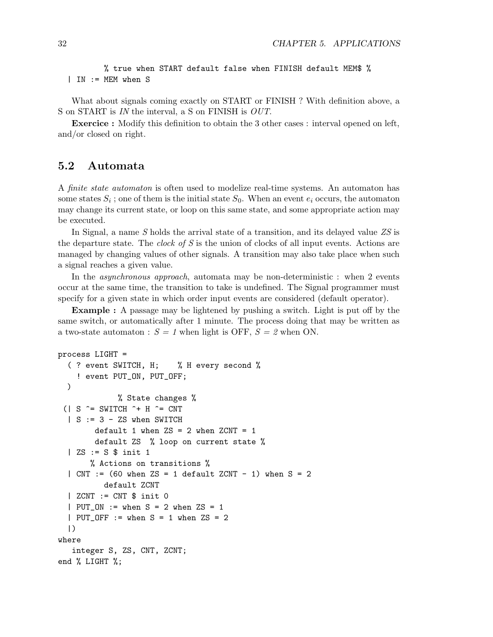% true when START default false when FINISH default MEM\$ % | IN := MEM when S

What about signals coming exactly on START or FINISH ? With definition above, a S on START is IN the interval, a S on FINISH is OUT.

Exercice : Modify this definition to obtain the 3 other cases : interval opened on left, and/or closed on right.

# 5.2 Automata

A finite state automaton is often used to modelize real-time systems. An automaton has some states  $S_i$ ; one of them is the initial state  $S_0$ . When an event  $e_i$  occurs, the automaton may change its current state, or loop on this same state, and some appropriate action may be executed.

In Signal, a name S holds the arrival state of a transition, and its delayed value ZS is the departure state. The *clock of S* is the union of clocks of all input events. Actions are managed by changing values of other signals. A transition may also take place when such a signal reaches a given value.

In the *asynchronous approach*, automata may be non-deterministic : when 2 events occur at the same time, the transition to take is undefined. The Signal programmer must specify for a given state in which order input events are considered (default operator).

Example : A passage may be lightened by pushing a switch. Light is put off by the same switch, or automatically after 1 minute. The process doing that may be written as a two-state automaton :  $S = 1$  when light is OFF,  $S = 2$  when ON.

```
process LIGHT =
  ( ? event SWITCH, H; % H every second %
    ! event PUT_ON, PUT_OFF;
  )
              % State changes %
 (| S \rangle = SWITCH \rangle + H \rangle = CNT| S := 3 - ZS when SWITCH
        default 1 when \text{ZS} = 2 when \text{ZCNT} = 1default ZS % loop on current state %
  | ZS := S $ init 1
       % Actions on transitions %
  | CNT := (60 when ZS = 1 default ZCNT - 1) when S = 2
          default ZCNT
  | ZCNT := CNT $ init 0
  | PUT_ON := when S = 2 when ZS = 1
  | PUT_OFF := when S = 1 when ZS = 2
  |)where
   integer S, ZS, CNT, ZCNT;
end % LIGHT %;
```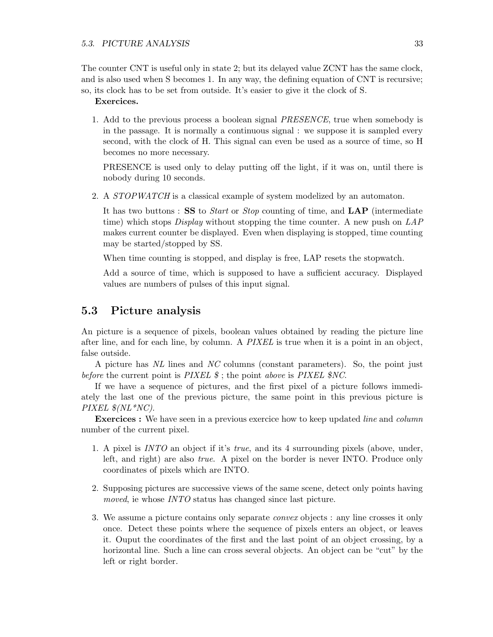The counter CNT is useful only in state 2; but its delayed value ZCNT has the same clock, and is also used when S becomes 1. In any way, the defining equation of CNT is recursive; so, its clock has to be set from outside. It's easier to give it the clock of S.

#### Exercices.

1. Add to the previous process a boolean signal PRESENCE, true when somebody is in the passage. It is normally a continuous signal : we suppose it is sampled every second, with the clock of H. This signal can even be used as a source of time, so H becomes no more necessary.

PRESENCE is used only to delay putting off the light, if it was on, until there is nobody during 10 seconds.

2. A *STOPWATCH* is a classical example of system modelized by an automaton.

It has two buttons : SS to Start or Stop counting of time, and LAP (intermediate time) which stops *Display* without stopping the time counter. A new push on LAP makes current counter be displayed. Even when displaying is stopped, time counting may be started/stopped by SS.

When time counting is stopped, and display is free, LAP resets the stopwatch.

Add a source of time, which is supposed to have a sufficient accuracy. Displayed values are numbers of pulses of this input signal.

# 5.3 Picture analysis

An picture is a sequence of pixels, boolean values obtained by reading the picture line after line, and for each line, by column. A PIXEL is true when it is a point in an object, false outside.

A picture has NL lines and NC columns (constant parameters). So, the point just before the current point is  $\text{PIXEL}\$ ; the point above is  $\text{PIXEL}\$ \$NC.

If we have a sequence of pictures, and the first pixel of a picture follows immediately the last one of the previous picture, the same point in this previous picture is PIXEL  $\mathcal{N}(NL^*NC)$ .

**Exercices :** We have seen in a previous exercice how to keep updated *line* and *column* number of the current pixel.

- 1. A pixel is INTO an object if it's true, and its 4 surrounding pixels (above, under, left, and right) are also true. A pixel on the border is never INTO. Produce only coordinates of pixels which are INTO.
- 2. Supposing pictures are successive views of the same scene, detect only points having moved, ie whose INTO status has changed since last picture.
- 3. We assume a picture contains only separate convex objects : any line crosses it only once. Detect these points where the sequence of pixels enters an object, or leaves it. Ouput the coordinates of the first and the last point of an object crossing, by a horizontal line. Such a line can cross several objects. An object can be "cut" by the left or right border.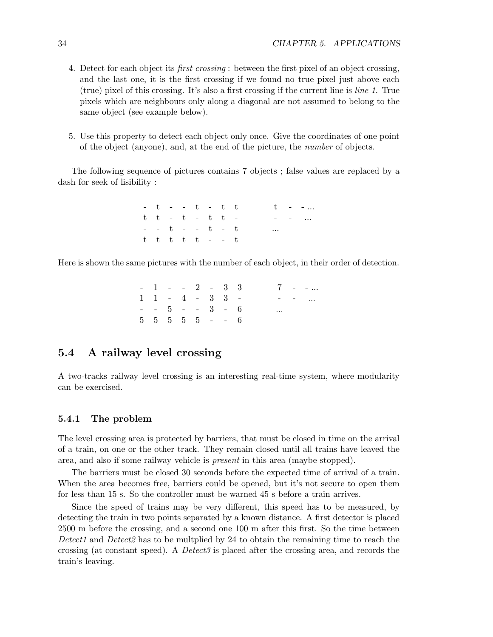- 4. Detect for each object its first crossing : between the first pixel of an object crossing, and the last one, it is the first crossing if we found no true pixel just above each (true) pixel of this crossing. It's also a first crossing if the current line is line 1. True pixels which are neighbours only along a diagonal are not assumed to belong to the same object (see example below).
- 5. Use this property to detect each object only once. Give the coordinates of one point of the object (anyone), and, at the end of the picture, the number of objects.

The following sequence of pictures contains 7 objects ; false values are replaced by a dash for seek of lisibility :

> $-t$  -  $t$  -  $t$  t  $t$  $t$   $t$  -  $t$  -  $t$   $t$  -  $\cdots$  - - ...  $t$   $t$   $t$   $\ldots$ t t t t  $t - - t$

Here is shown the same pictures with the number of each object, in their order of detection.

|  |  |  | $-1$ $-2$ $-3$ 3                              |  |          | $7 - -$ |
|--|--|--|-----------------------------------------------|--|----------|---------|
|  |  |  | $1 \t1 - 4 - 3 \t3 -$                         |  |          | $    -$ |
|  |  |  | $- - 5 - - 3 - 6$                             |  | $\cdots$ |         |
|  |  |  | $5\quad 5\quad 5\quad 5\quad 5\quad -\quad 6$ |  |          |         |

# 5.4 A railway level crossing

A two-tracks railway level crossing is an interesting real-time system, where modularity can be exercised.

# 5.4.1 The problem

The level crossing area is protected by barriers, that must be closed in time on the arrival of a train, on one or the other track. They remain closed until all trains have leaved the area, and also if some railway vehicle is present in this area (maybe stopped).

The barriers must be closed 30 seconds before the expected time of arrival of a train. When the area becomes free, barriers could be opened, but it's not secure to open them for less than 15 s. So the controller must be warned 45 s before a train arrives.

Since the speed of trains may be very different, this speed has to be measured, by detecting the train in two points separated by a known distance. A first detector is placed 2500 m before the crossing, and a second one 100 m after this first. So the time between Detect1 and Detect2 has to be multplied by 24 to obtain the remaining time to reach the crossing (at constant speed). A Detect3 is placed after the crossing area, and records the train's leaving.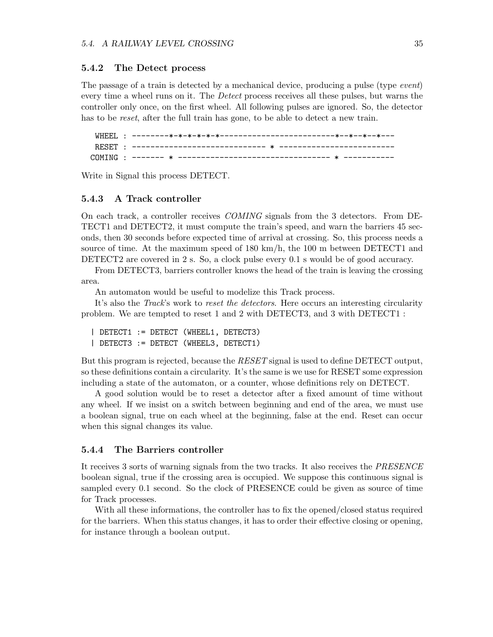### 5.4.2 The Detect process

The passage of a train is detected by a mechanical device, producing a pulse (type *event*) every time a wheel runs on it. The Detect process receives all these pulses, but warns the controller only once, on the first wheel. All following pulses are ignored. So, the detector has to be *reset*, after the full train has gone, to be able to detect a new train.

WHEEL : --------\*-\*-\*-\*-\*-\*-------------------------\*--\*--\*--\*--- RESET : ----------------------------- \* ------------------------- COMING : ------- \* --------------------------------- \* -----------

Write in Signal this process DETECT.

### 5.4.3 A Track controller

On each track, a controller receives COMING signals from the 3 detectors. From DE-TECT1 and DETECT2, it must compute the train's speed, and warn the barriers 45 seconds, then 30 seconds before expected time of arrival at crossing. So, this process needs a source of time. At the maximum speed of 180 km/h, the 100 m between DETECT1 and DETECT2 are covered in 2 s. So, a clock pulse every 0.1 s would be of good accuracy.

From DETECT3, barriers controller knows the head of the train is leaving the crossing area.

An automaton would be useful to modelize this Track process.

It's also the *Track*'s work to *reset the detectors*. Here occurs an interesting circularity problem. We are tempted to reset 1 and 2 with DETECT3, and 3 with DETECT1 :

```
| DETECT1 := DETECT (WHEEL1, DETECT3)
| DETECT3 := DETECT (WHEEL3, DETECT1)
```
But this program is rejected, because the RESET signal is used to define DETECT output, so these definitions contain a circularity. It's the same is we use for RESET some expression including a state of the automaton, or a counter, whose definitions rely on DETECT.

A good solution would be to reset a detector after a fixed amount of time without any wheel. If we insist on a switch between beginning and end of the area, we must use a boolean signal, true on each wheel at the beginning, false at the end. Reset can occur when this signal changes its value.

#### 5.4.4 The Barriers controller

It receives 3 sorts of warning signals from the two tracks. It also receives the PRESENCE boolean signal, true if the crossing area is occupied. We suppose this continuous signal is sampled every 0.1 second. So the clock of PRESENCE could be given as source of time for Track processes.

With all these informations, the controller has to fix the opened/closed status required for the barriers. When this status changes, it has to order their effective closing or opening, for instance through a boolean output.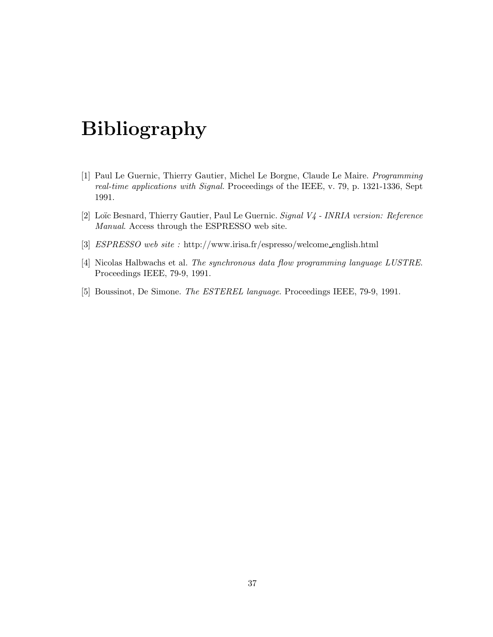# Bibliography

- [1] Paul Le Guernic, Thierry Gautier, Michel Le Borgne, Claude Le Maire. Programming real-time applications with Signal. Proceedings of the IEEE, v. 79, p. 1321-1336, Sept 1991.
- [2] Loïc Besnard, Thierry Gautier, Paul Le Guernic. Signal V4 INRIA version: Reference Manual. Access through the ESPRESSO web site.
- [3] ESPRESSO web site : http://www.irisa.fr/espresso/welcome english.html
- [4] Nicolas Halbwachs et al. The synchronous data flow programming language LUSTRE. Proceedings IEEE, 79-9, 1991.
- [5] Boussinot, De Simone. The ESTEREL language. Proceedings IEEE, 79-9, 1991.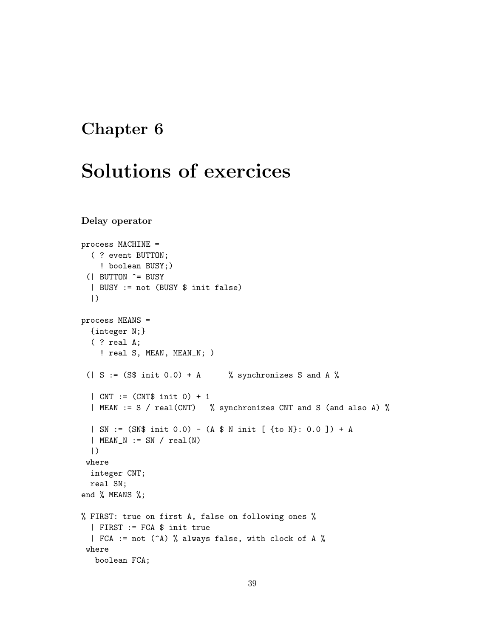# Chapter 6

# Solutions of exercices

```
Delay operator
```

```
process MACHINE =
  ( ? event BUTTON;
    ! boolean BUSY;)
 (| BUTTON ^= BUSY
  | BUSY := not (BUSY $ init false)
  |)
process MEANS =
  {integer N;}
  ( ? real A;
    ! real S, MEAN, MEAN_N; )
 ( | S := (S\ init 0.0) + A % synchronizes S and A %
  | CNT := (CNT$ init 0) + 1
  | MEAN := S / real(CNT) % synchronizes CNT and S (and also A) %
  | SN := (SN$ init 0.0) - (A $ N init [ {to N}: 0.0 ]) + A
  | MEAN_N := SN / real(N)
  |)
 where
  integer CNT;
  real SN;
end % MEANS %;
% FIRST: true on first A, false on following ones %
  | FIRST := FCA $ init true
  | FCA := not (^A) % always false, with clock of A %
 where
   boolean FCA;
```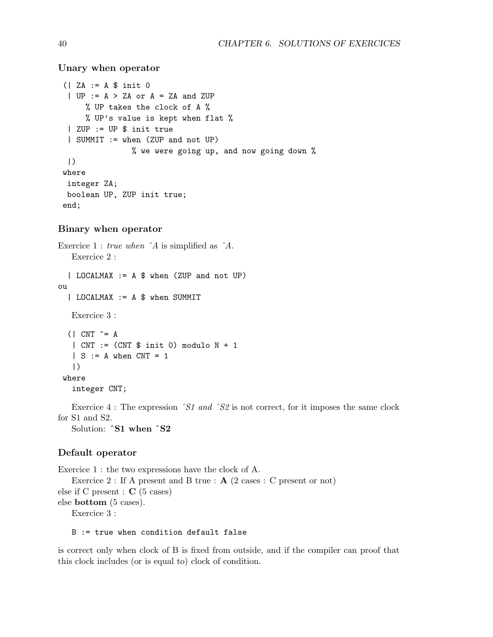Unary when operator

```
(| ZA := A $ init 0
 | UP := A > ZA or A = ZA and ZUP
     % UP takes the clock of A %
     % UP's value is kept when flat %
 | ZUP := UP $ init true
 | SUMMIT := when (ZUP and not UP)
               % we were going up, and now going down %
 |)
where
integer ZA;
boolean UP, ZUP init true;
end;
```
## Binary when operator

```
Exercice 1 : true when ˆA is simplified as ˆA.
   Exercice 2 :
  | LOCALMAX := A $ when (ZUP and not UP)
ou
  | LOCALMAX := A $ when SUMMIT
   Exercice 3 :
  (| CNT \hat{=} A
   | CNT := (CNT $ init 0) modulo N + 1
   | S := A when CNT = 1|)
 where
   integer CNT;
```
Exercice 4 : The expression  $\hat{S}$ 1 and  $\hat{S}$ 2 is not correct, for it imposes the same clock for S1 and S2.

Solution: ˆS1 when ˆS2

# Default operator

```
Exercice 1 : the two expressions have the clock of A.
   Exercice 2 : If A present and B true : \mathbf{A} (2 cases : C present or not)
else if C present : C (5 cases)
else bottom (5 cases).
   Exercice 3 :
```
B := true when condition default false

is correct only when clock of B is fixed from outside, and if the compiler can proof that this clock includes (or is equal to) clock of condition.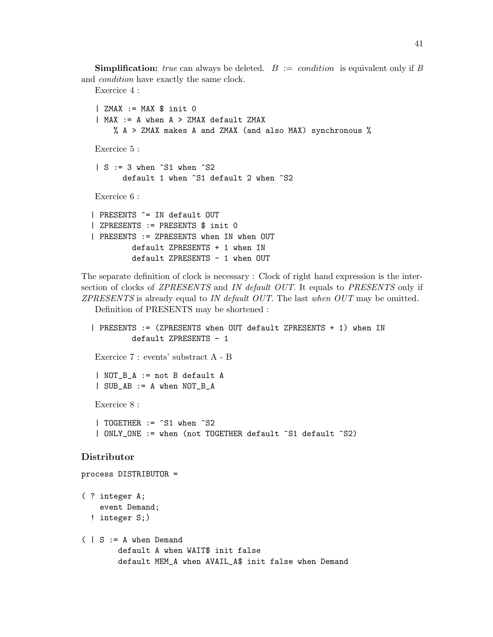**Simplification:** true can always be deleted.  $B := condition$  is equivalent only if B and condition have exactly the same clock.

Exercice 4 :

```
| ZMAX := MAX $ init 0| MAX := A when A > ZMAX default ZMAX
     % A > ZMAX makes A and ZMAX (and also MAX) synchronous %
Exercice 5 :
 | S := 3 when \hat{S}1 when \hat{S}2default 1 when ^S1 default 2 when ^S2
Exercice 6 :
| PRESENTS ^= IN default OUT
| ZPRESENTS := PRESENTS $ init 0
| PRESENTS := ZPRESENTS when IN when OUT
         default ZPRESENTS + 1 when IN
         default ZPRESENTS - 1 when OUT
```
The separate definition of clock is necessary : Clock of right hand expression is the intersection of clocks of ZPRESENTS and IN default OUT. It equals to PRESENTS only if ZPRESENTS is already equal to IN default OUT. The last when OUT may be omitted.

Definition of PRESENTS may be shortened :

```
| PRESENTS := (ZPRESENTS when OUT default ZPRESENTS + 1) when IN
           default ZPRESENTS - 1
   Exercice 7 : events' substract A - B
   | NOT_B_A := not B default A
   | SUB_AB := A when NOT_B_A
   Exercice 8 :
   | TOGETHER := ^S1 when ^S2
   | ONLY_ONE := when (not TOGETHER default ^S1 default ^S2)
Distributor
process DISTRIBUTOR =
( ? integer A;
    event Demand;
```

```
! integer S;)
```

```
( | S := A when Demand
       default A when WAIT$ init false
       default MEM_A when AVAIL_A$ init false when Demand
```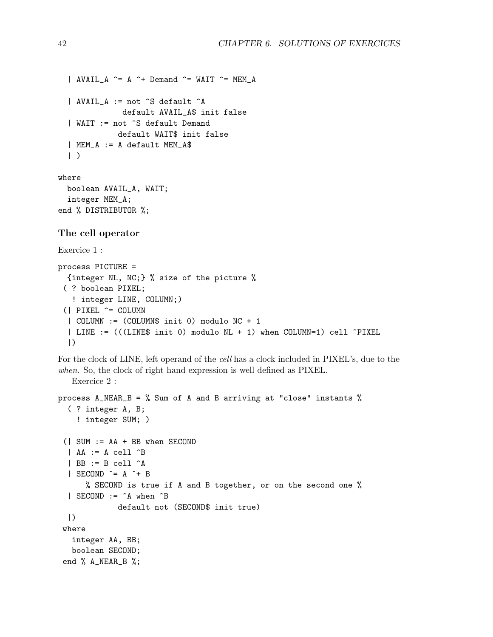```
\parallel AVAIL_A \hat{=} A \hat{+} Demand \hat{=} WAIT \hat{=} MEM_A
| AVAIL_A := not ^S default ^A
             default AVAIL_A$ init false
| WAIT := not ^S default Demand
            default WAIT$ init false
| MEM_A := A default MEM_A$
|)
```
where boolean AVAIL\_A, WAIT; integer MEM\_A; end % DISTRIBUTOR %;

## The cell operator

```
Exercice 1 :
process PICTURE =
  {integer NL, NC;} % size of the picture %
 ( ? boolean PIXEL;
   ! integer LINE, COLUMN;)
 (| PIXEL ^= COLUMN
  | COLUMN := (COLUMN$ init 0) modulo NC + 1
  | LINE := (((LINE$ init 0) modulo NL + 1) when COLUMN=1) cell ^PIXEL
  |)
```
For the clock of LINE, left operand of the cell has a clock included in PIXEL's, due to the when. So, the clock of right hand expression is well defined as PIXEL.

```
Exercice 2 :
```

```
process A_NEAR_B = % Sum of A and B arriving at "close" instants %
  ( ? integer A, B;
    ! integer SUM; )
 (| SUM := AA + BB when SECOND
  | AA := A cell \hat{B}| BB := B cell ^A
  | SECOND \hat{=} A \hat{+} B
      % SECOND is true if A and B together, or on the second one %
  | SECOND := ^A when ^B
             default not (SECOND$ init true)
  |)
 where
   integer AA, BB;
  boolean SECOND;
 end % A_NEAR_B %;
```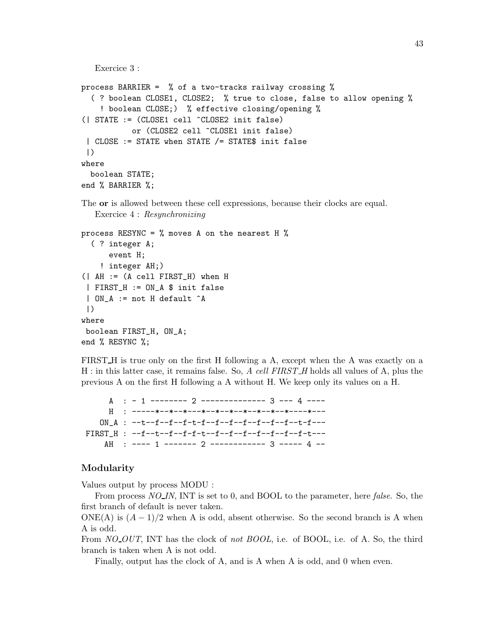```
Exercice 3 :
process BARRIER = % of a two-tracks railway crossing %
  ( ? boolean CLOSE1, CLOSE2; % true to close, false to allow opening %
    ! boolean CLOSE;) % effective closing/opening %
(| STATE := (CLOSE1 cell ^CLOSE2 init false)
           or (CLOSE2 cell ^CLOSE1 init false)
 | CLOSE := STATE when STATE /= STATE$ init false
 |)where
  boolean STATE;
end % BARRIER %;
```
The or is allowed between these cell expressions, because their clocks are equal. Exercice 4 : Resynchronizing

```
process RESYNC = \% moves A on the nearest H \%( ? integer A;
      event H;
    ! integer AH;)
(| AH := (A cell FIRST_H) when H
 | FIRST_H := ON_A $ init false
 | ON_A := not H default ^A
 |)
where
 boolean FIRST_H, ON_A;
end % RESYNC %;
```
FIRST H is true only on the first H following a A, except when the A was exactly on a H : in this latter case, it remains false. So, A cell FIRST\_H holds all values of A, plus the previous A on the first H following a A without H. We keep only its values on a H.

 $A : -1$  -------- 2 -------------- 3 --- 4 ----H : -----\*--\*--\*---\*--\*--\*--\*--\*--\*--\*---\*---\*---ON A :  $--t-f-f-f-t-f--f-f-f-f-f-f-f-f-f-f-f--t-f--t$ FIRST\_H : --f--t--f--f-f-t--f--f--f--f--f--f--f-t--- AH : ---- 1 ------- 2 ------------ 3 ----- 4 --

# Modularity

Values output by process MODU :

From process  $NO$ <sub>IN</sub>, INT is set to 0, and BOOL to the parameter, here *false*. So, the first branch of default is never taken.

ONE(A) is  $(A-1)/2$  when A is odd, absent otherwise. So the second branch is A when A is odd.

From *NO\_OUT*, INT has the clock of *not BOOL*, i.e. of BOOL, i.e. of A. So, the third branch is taken when A is not odd.

Finally, output has the clock of A, and is A when A is odd, and 0 when even.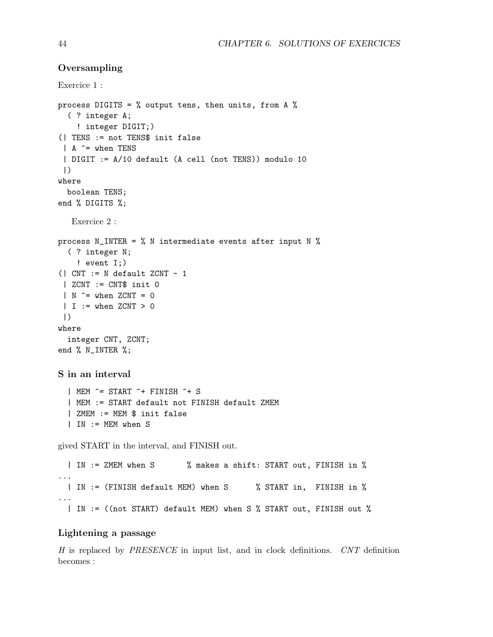# **Oversampling**

Exercice 1 :

```
process DIGITS = \% output tens, then units, from A \%( ? integer A;
    ! integer DIGIT;)
(| TENS := not TENS$ init false
 | A ^= when TENS
 | DIGIT := A/10 default (A cell (not TENS)) modulo 10
 |)
where
  boolean TENS;
end % DIGITS %;
   Exercice 2 :
process N_INTER = \% N intermediate events after input N \%( ? integer N;
    ! event I;)
(| CNT := N default ZCNT - 1
 \vert ZCNT := CNT$ init 0
 | N \rangle = when ZCNT = 0
 | I := when ZCNT > 0|)
where
  integer CNT, ZCNT;
end % N_INTER %;
S in an interval
  | MEM ^= START ^+ FINISH ^+ S
  | MEM := START default not FINISH default ZMEM
  | ZMEM := MEM $ init false
  | IN := MEM when S
gived START in the interval, and FINISH out.
  | IN := ZMEM when S % makes a shift: START out, FINISH in %
...
  | IN := (FINISH default MEM) when S % START in, FINISH in %
...
  | IN := ((not START) default MEM) when S % START out, FINISH out %
```
# Lightening a passage

H is replaced by PRESENCE in input list, and in clock definitions. CNT definition becomes :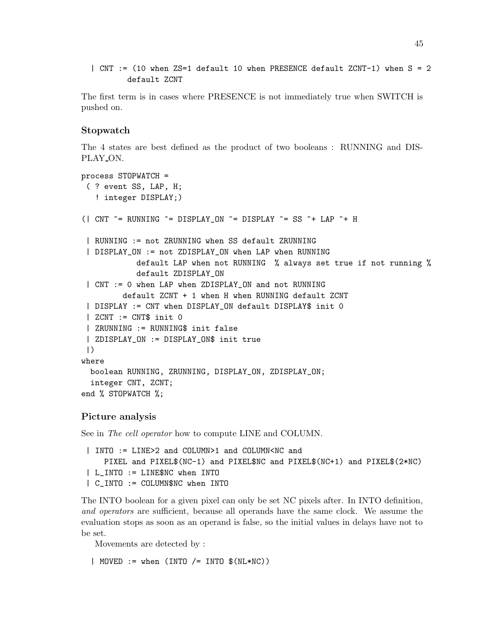| CNT := (10 when ZS=1 default 10 when PRESENCE default ZCNT-1) when S = 2 default ZCNT

The first term is in cases where PRESENCE is not immediately true when SWITCH is pushed on.

## Stopwatch

The 4 states are best defined as the product of two booleans : RUNNING and DIS-PLAY\_ON.

```
process STOPWATCH =
 ( ? event SS, LAP, H;
   ! integer DISPLAY;)
(| CNT \hat{} = RUNNING \hat{} = DISPLAY_ON \hat{} = DISPLAY \hat{} = SS \hat{} + LAP \hat{} + H
 | RUNNING := not ZRUNNING when SS default ZRUNNING
 | DISPLAY_ON := not ZDISPLAY_ON when LAP when RUNNING
            default LAP when not RUNNING % always set true if not running %
            default ZDISPLAY_ON
 | CNT := 0 when LAP when ZDISPLAY_ON and not RUNNING
         default ZCNT + 1 when H when RUNNING default ZCNT
 | DISPLAY := CNT when DISPLAY_ON default DISPLAY$ init 0
 | ZCNT := CNT$ init 0
 | ZRUNNING := RUNNING$ init false
 | ZDISPLAY_ON := DISPLAY_ON$ init true
 |)
where
  boolean RUNNING, ZRUNNING, DISPLAY_ON, ZDISPLAY_ON;
  integer CNT, ZCNT;
end % STOPWATCH %;
```
### Picture analysis

See in The cell operator how to compute LINE and COLUMN.

```
| INTO := LINE>2 and COLUMN>1 and COLUMN<NC and
   PIXEL and PIXEL$(NC-1) and PIXEL$NC and PIXEL$(NC+1) and PIXEL$(2*NC)
| L_INTO := LINE$NC when INTO
| C_INTO := COLUMN$NC when INTO
```
The INTO boolean for a given pixel can only be set NC pixels after. In INTO definition, and operators are sufficient, because all operands have the same clock. We assume the evaluation stops as soon as an operand is false, so the initial values in delays have not to be set.

Movements are detected by :

| MOVED  $:=$  when (INTO  $/$ = INTO  $$(NL*NC))$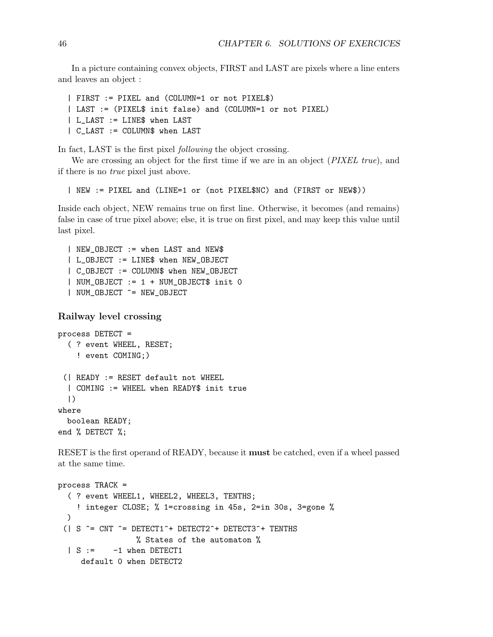In a picture containing convex objects, FIRST and LAST are pixels where a line enters and leaves an object :

```
| FIRST := PIXEL and (COLUMN=1 or not PIXEL$)
| LAST := (PIXEL$ init false) and (COLUMN=1 or not PIXEL)
| L_LAST := LINE$ when LAST
| C_LAST := COLUMN$ when LAST
```
In fact, LAST is the first pixel *following* the object crossing.

We are crossing an object for the first time if we are in an object (PIXEL true), and if there is no true pixel just above.

| NEW := PIXEL and (LINE=1 or (not PIXEL\$NC) and (FIRST or NEW\$))

Inside each object, NEW remains true on first line. Otherwise, it becomes (and remains) false in case of true pixel above; else, it is true on first pixel, and may keep this value until last pixel.

```
| NEW_OBJECT := when LAST and NEW$
| L_OBJECT := LINE$ when NEW_OBJECT
| C_OBJECT := COLUMN$ when NEW_OBJECT
| NUM_OBJECT := 1 + NUM_OBJECT$ init 0
| NUM_OBJECT ^= NEW_OBJECT
```
# Railway level crossing

```
process DETECT =
  ( ? event WHEEL, RESET;
    ! event COMING;)
 (| READY := RESET default not WHEEL
  | COMING := WHEEL when READY$ init true
  |)
where
  boolean READY;
end % DETECT %;
```
RESET is the first operand of READY, because it must be catched, even if a wheel passed at the same time.

```
process TRACK =
  ( ? event WHEEL1, WHEEL2, WHEEL3, TENTHS;
    ! integer CLOSE; % 1=crossing in 45s, 2=in 30s, 3=gone %
  )
 (| S \hat{} = CNT \hat{} = DETECT1\hat{} + DETECT2\hat{} + DETECT3\hat{} + TENTHS
                   % States of the automaton %
  | S := -1 when DETECT1
     default 0 when DETECT2
```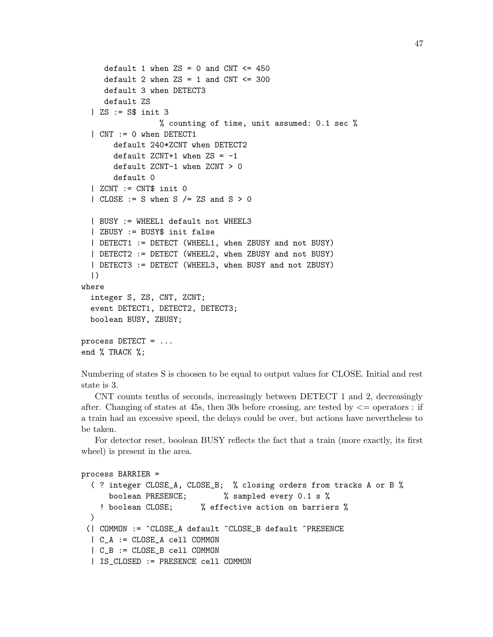```
default 1 when \text{ZS} = 0 and CNT \text{S} = 450default 2 when \text{ZS} = 1 and \text{CNT} \leq 300default 3 when DETECT3
     default ZS
  | ZS := S$ init 3
                  % counting of time, unit assumed: 0.1 sec %
  | CNT := 0 when DETECT1
       default 240*ZCNT when DETECT2
       default ZCNT+1 when 2S = -1default ZCNT-1 when ZCNT > 0
       default 0
  | ZCNT := CNT$ init 0
  | CLOSE := S when S /= ZS and S > 0| BUSY := WHEEL1 default not WHEEL3
  | ZBUSY := BUSY$ init false
  | DETECT1 := DETECT (WHEEL1, when ZBUSY and not BUSY)
  | DETECT2 := DETECT (WHEEL2, when ZBUSY and not BUSY)
  | DETECT3 := DETECT (WHEEL3, when BUSY and not ZBUSY)
  |)
where
  integer S, ZS, CNT, ZCNT;
  event DETECT1, DETECT2, DETECT3;
  boolean BUSY, ZBUSY;
process DETECT = ...
end % TRACK %;
```
Numbering of states S is choosen to be equal to output values for CLOSE. Initial and rest state is 3.

CNT counts tenths of seconds, increasingly between DETECT 1 and 2, decreasingly after. Changing of states at 45s, then 30s before crossing, are tested by  $\leq$  operators : if a train had an excessive speed, the delays could be over, but actions have nevertheless to be taken.

For detector reset, boolean BUSY reflects the fact that a train (more exactly, its first wheel) is present in the area.

```
process BARRIER =
  ( ? integer CLOSE_A, CLOSE_B; % closing orders from tracks A or B %
     boolean PRESENCE; % sampled every 0.1 s %
    ! boolean CLOSE; % effective action on barriers %
  )
 (| COMMON := ^CLOSE_A default ^CLOSE_B default ^PRESENCE
  | C_A := CLOSE_A cell COMMON
  | C_B := CLOSE_B cell COMMON
  | IS_CLOSED := PRESENCE cell COMMON
```